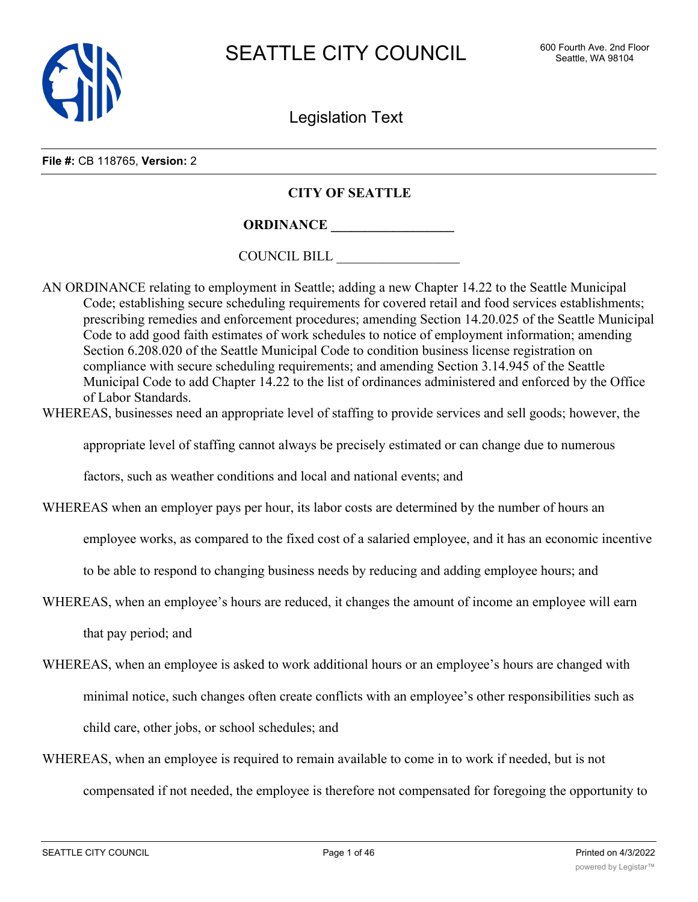

Legislation Text

**File #:** CB 118765, **Version:** 2

# **CITY OF SEATTLE**

**ORDINANCE \_\_\_\_\_\_\_\_\_\_\_\_\_\_\_\_\_\_**

COUNCIL BILL \_\_\_\_\_\_\_\_\_\_\_\_\_\_\_\_\_\_

- AN ORDINANCE relating to employment in Seattle; adding a new Chapter 14.22 to the Seattle Municipal Code; establishing secure scheduling requirements for covered retail and food services establishments; prescribing remedies and enforcement procedures; amending Section 14.20.025 of the Seattle Municipal Code to add good faith estimates of work schedules to notice of employment information; amending Section 6.208.020 of the Seattle Municipal Code to condition business license registration on compliance with secure scheduling requirements; and amending Section 3.14.945 of the Seattle Municipal Code to add Chapter 14.22 to the list of ordinances administered and enforced by the Office of Labor Standards.
- WHEREAS, businesses need an appropriate level of staffing to provide services and sell goods; however, the

appropriate level of staffing cannot always be precisely estimated or can change due to numerous

factors, such as weather conditions and local and national events; and

WHEREAS when an employer pays per hour, its labor costs are determined by the number of hours an

employee works, as compared to the fixed cost of a salaried employee, and it has an economic incentive

to be able to respond to changing business needs by reducing and adding employee hours; and

WHEREAS, when an employee's hours are reduced, it changes the amount of income an employee will earn

that pay period; and

WHEREAS, when an employee is asked to work additional hours or an employee's hours are changed with

minimal notice, such changes often create conflicts with an employee's other responsibilities such as

child care, other jobs, or school schedules; and

WHEREAS, when an employee is required to remain available to come in to work if needed, but is not compensated if not needed, the employee is therefore not compensated for foregoing the opportunity to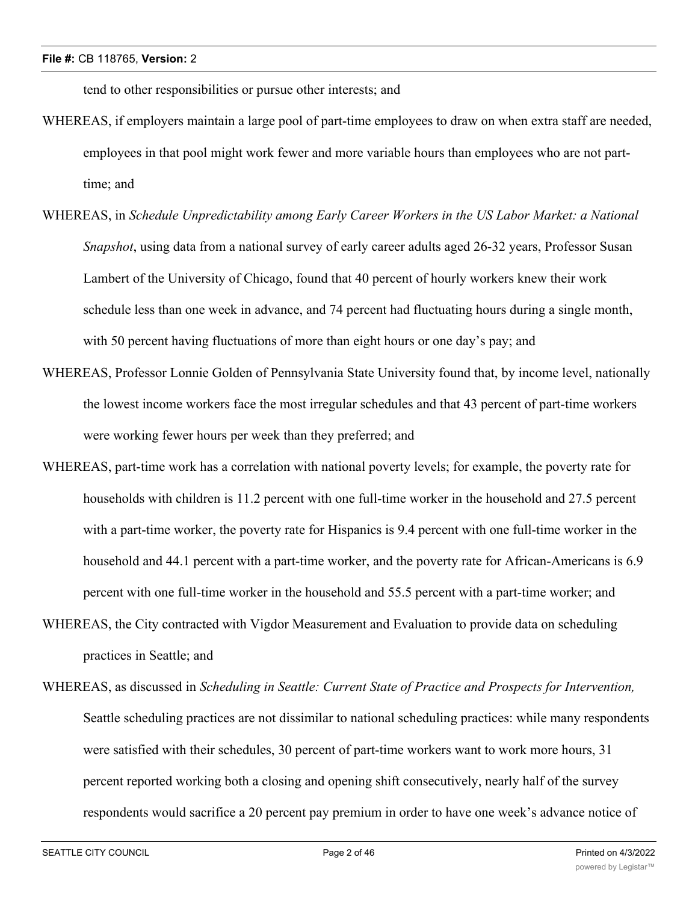tend to other responsibilities or pursue other interests; and

- WHEREAS, if employers maintain a large pool of part-time employees to draw on when extra staff are needed, employees in that pool might work fewer and more variable hours than employees who are not parttime; and
- WHEREAS, in *Schedule Unpredictability among Early Career Workers in the US Labor Market: a National Snapshot*, using data from a national survey of early career adults aged 26-32 years, Professor Susan Lambert of the University of Chicago, found that 40 percent of hourly workers knew their work schedule less than one week in advance, and 74 percent had fluctuating hours during a single month, with 50 percent having fluctuations of more than eight hours or one day's pay; and
- WHEREAS, Professor Lonnie Golden of Pennsylvania State University found that, by income level, nationally the lowest income workers face the most irregular schedules and that 43 percent of part-time workers were working fewer hours per week than they preferred; and
- WHEREAS, part-time work has a correlation with national poverty levels; for example, the poverty rate for households with children is 11.2 percent with one full-time worker in the household and 27.5 percent with a part-time worker, the poverty rate for Hispanics is 9.4 percent with one full-time worker in the household and 44.1 percent with a part-time worker, and the poverty rate for African-Americans is 6.9 percent with one full-time worker in the household and 55.5 percent with a part-time worker; and
- WHEREAS, the City contracted with Vigdor Measurement and Evaluation to provide data on scheduling practices in Seattle; and
- WHEREAS, as discussed in *Scheduling in Seattle: Current State of Practice and Prospects for Intervention,* Seattle scheduling practices are not dissimilar to national scheduling practices: while many respondents were satisfied with their schedules, 30 percent of part-time workers want to work more hours, 31 percent reported working both a closing and opening shift consecutively, nearly half of the survey respondents would sacrifice a 20 percent pay premium in order to have one week's advance notice of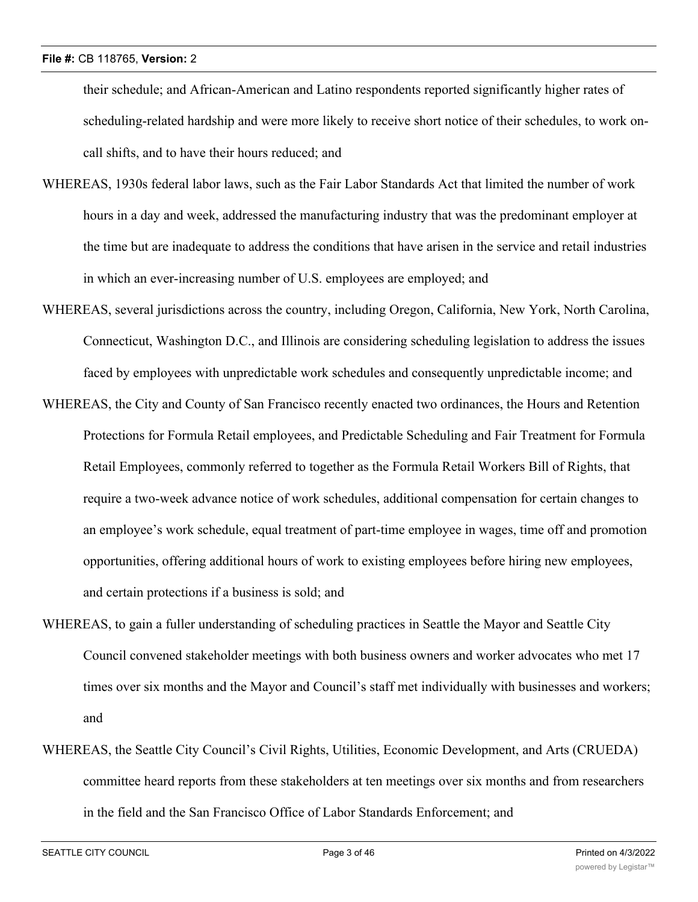their schedule; and African-American and Latino respondents reported significantly higher rates of scheduling-related hardship and were more likely to receive short notice of their schedules, to work oncall shifts, and to have their hours reduced; and

- WHEREAS, 1930s federal labor laws, such as the Fair Labor Standards Act that limited the number of work hours in a day and week, addressed the manufacturing industry that was the predominant employer at the time but are inadequate to address the conditions that have arisen in the service and retail industries in which an ever-increasing number of U.S. employees are employed; and
- WHEREAS, several jurisdictions across the country, including Oregon, California, New York, North Carolina, Connecticut, Washington D.C., and Illinois are considering scheduling legislation to address the issues faced by employees with unpredictable work schedules and consequently unpredictable income; and
- WHEREAS, the City and County of San Francisco recently enacted two ordinances, the Hours and Retention Protections for Formula Retail employees, and Predictable Scheduling and Fair Treatment for Formula Retail Employees, commonly referred to together as the Formula Retail Workers Bill of Rights, that require a two-week advance notice of work schedules, additional compensation for certain changes to an employee's work schedule, equal treatment of part-time employee in wages, time off and promotion opportunities, offering additional hours of work to existing employees before hiring new employees, and certain protections if a business is sold; and
- WHEREAS, to gain a fuller understanding of scheduling practices in Seattle the Mayor and Seattle City Council convened stakeholder meetings with both business owners and worker advocates who met 17 times over six months and the Mayor and Council's staff met individually with businesses and workers; and
- WHEREAS, the Seattle City Council's Civil Rights, Utilities, Economic Development, and Arts (CRUEDA) committee heard reports from these stakeholders at ten meetings over six months and from researchers in the field and the San Francisco Office of Labor Standards Enforcement; and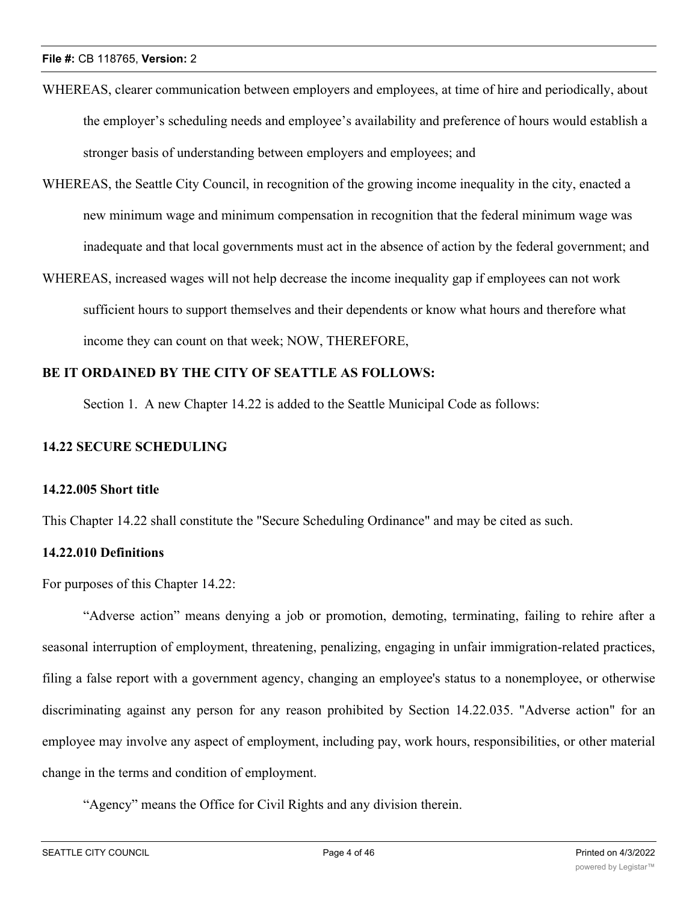- WHEREAS, clearer communication between employers and employees, at time of hire and periodically, about the employer's scheduling needs and employee's availability and preference of hours would establish a stronger basis of understanding between employers and employees; and
- WHEREAS, the Seattle City Council, in recognition of the growing income inequality in the city, enacted a new minimum wage and minimum compensation in recognition that the federal minimum wage was inadequate and that local governments must act in the absence of action by the federal government; and
- WHEREAS, increased wages will not help decrease the income inequality gap if employees can not work sufficient hours to support themselves and their dependents or know what hours and therefore what income they can count on that week; NOW, THEREFORE,

# **BE IT ORDAINED BY THE CITY OF SEATTLE AS FOLLOWS:**

Section 1. A new Chapter 14.22 is added to the Seattle Municipal Code as follows:

# **14.22 SECURE SCHEDULING**

# **14.22.005 Short title**

This Chapter 14.22 shall constitute the "Secure Scheduling Ordinance" and may be cited as such.

# **14.22.010 Definitions**

For purposes of this Chapter 14.22:

"Adverse action" means denying a job or promotion, demoting, terminating, failing to rehire after a seasonal interruption of employment, threatening, penalizing, engaging in unfair immigration-related practices, filing a false report with a government agency, changing an employee's status to a nonemployee, or otherwise discriminating against any person for any reason prohibited by Section 14.22.035. "Adverse action" for an employee may involve any aspect of employment, including pay, work hours, responsibilities, or other material change in the terms and condition of employment.

"Agency" means the Office for Civil Rights and any division therein.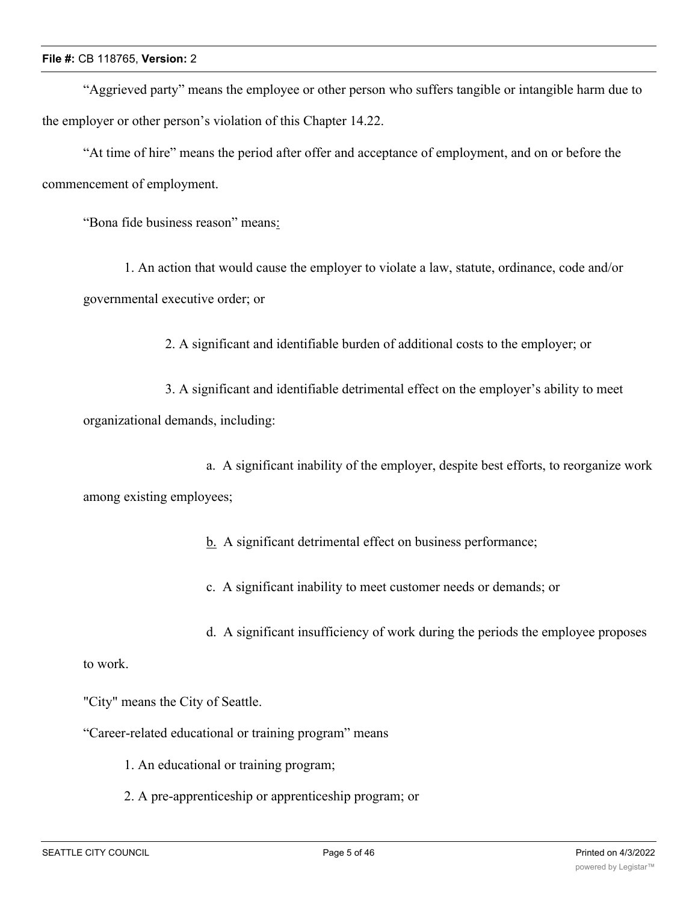"Aggrieved party" means the employee or other person who suffers tangible or intangible harm due to the employer or other person's violation of this Chapter 14.22.

"At time of hire" means the period after offer and acceptance of employment, and on or before the commencement of employment.

"Bona fide business reason" means:

1. An action that would cause the employer to violate a law, statute, ordinance, code and/or governmental executive order; or

2. A significant and identifiable burden of additional costs to the employer; or

3. A significant and identifiable detrimental effect on the employer's ability to meet organizational demands, including:

a. A significant inability of the employer, despite best efforts, to reorganize work among existing employees;

b. A significant detrimental effect on business performance;

c. A significant inability to meet customer needs or demands; or

d. A significant insufficiency of work during the periods the employee proposes

to work.

"City" means the City of Seattle.

"Career-related educational or training program" means

1. An educational or training program;

2. A pre-apprenticeship or apprenticeship program; or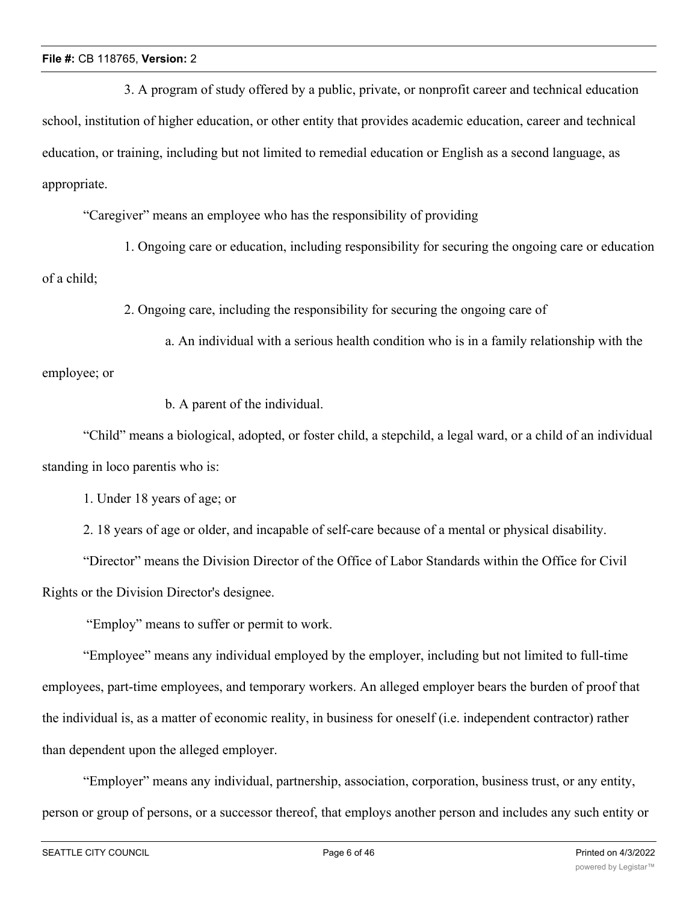3. A program of study offered by a public, private, or nonprofit career and technical education school, institution of higher education, or other entity that provides academic education, career and technical education, or training, including but not limited to remedial education or English as a second language, as appropriate.

"Caregiver" means an employee who has the responsibility of providing

1. Ongoing care or education, including responsibility for securing the ongoing care or education of a child;

2. Ongoing care, including the responsibility for securing the ongoing care of

a. An individual with a serious health condition who is in a family relationship with the employee; or

b. A parent of the individual.

"Child" means a biological, adopted, or foster child, a stepchild, a legal ward, or a child of an individual standing in loco parentis who is:

1. Under 18 years of age; or

2. 18 years of age or older, and incapable of self-care because of a mental or physical disability.

"Director" means the Division Director of the Office of Labor Standards within the Office for Civil Rights or the Division Director's designee.

"Employ" means to suffer or permit to work.

"Employee" means any individual employed by the employer, including but not limited to full-time employees, part-time employees, and temporary workers. An alleged employer bears the burden of proof that the individual is, as a matter of economic reality, in business for oneself (i.e. independent contractor) rather than dependent upon the alleged employer.

"Employer" means any individual, partnership, association, corporation, business trust, or any entity, person or group of persons, or a successor thereof, that employs another person and includes any such entity or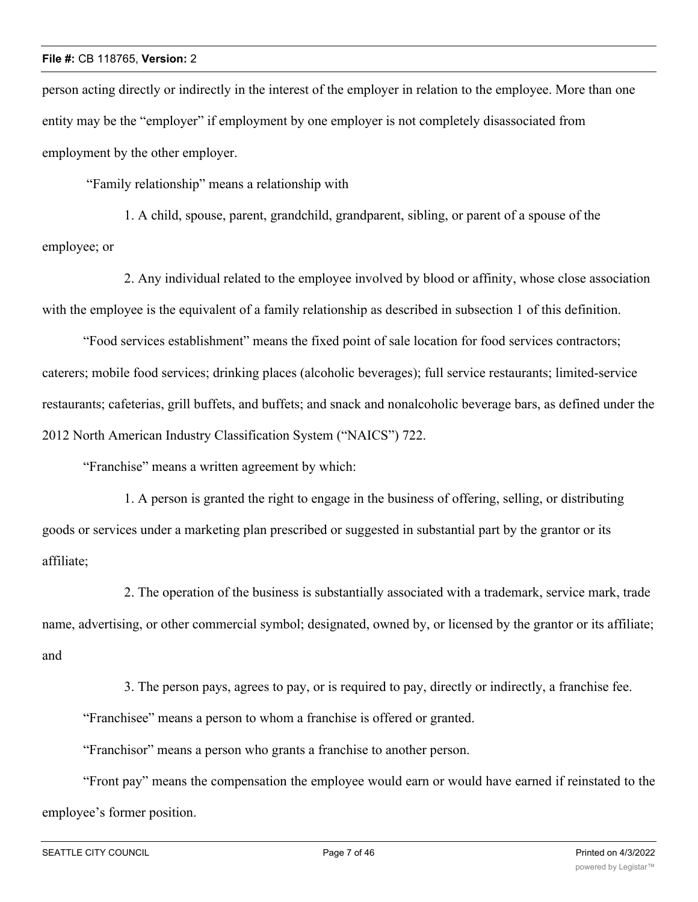person acting directly or indirectly in the interest of the employer in relation to the employee. More than one entity may be the "employer" if employment by one employer is not completely disassociated from employment by the other employer.

"Family relationship" means a relationship with

1. A child, spouse, parent, grandchild, grandparent, sibling, or parent of a spouse of the employee; or

2. Any individual related to the employee involved by blood or affinity, whose close association with the employee is the equivalent of a family relationship as described in subsection 1 of this definition.

"Food services establishment" means the fixed point of sale location for food services contractors; caterers; mobile food services; drinking places (alcoholic beverages); full service restaurants; limited-service restaurants; cafeterias, grill buffets, and buffets; and snack and nonalcoholic beverage bars, as defined under the 2012 North American Industry Classification System ("NAICS") 722.

"Franchise" means a written agreement by which:

1. A person is granted the right to engage in the business of offering, selling, or distributing goods or services under a marketing plan prescribed or suggested in substantial part by the grantor or its affiliate;

2. The operation of the business is substantially associated with a trademark, service mark, trade name, advertising, or other commercial symbol; designated, owned by, or licensed by the grantor or its affiliate; and

3. The person pays, agrees to pay, or is required to pay, directly or indirectly, a franchise fee. "Franchisee" means a person to whom a franchise is offered or granted.

"Franchisor" means a person who grants a franchise to another person.

"Front pay" means the compensation the employee would earn or would have earned if reinstated to the employee's former position.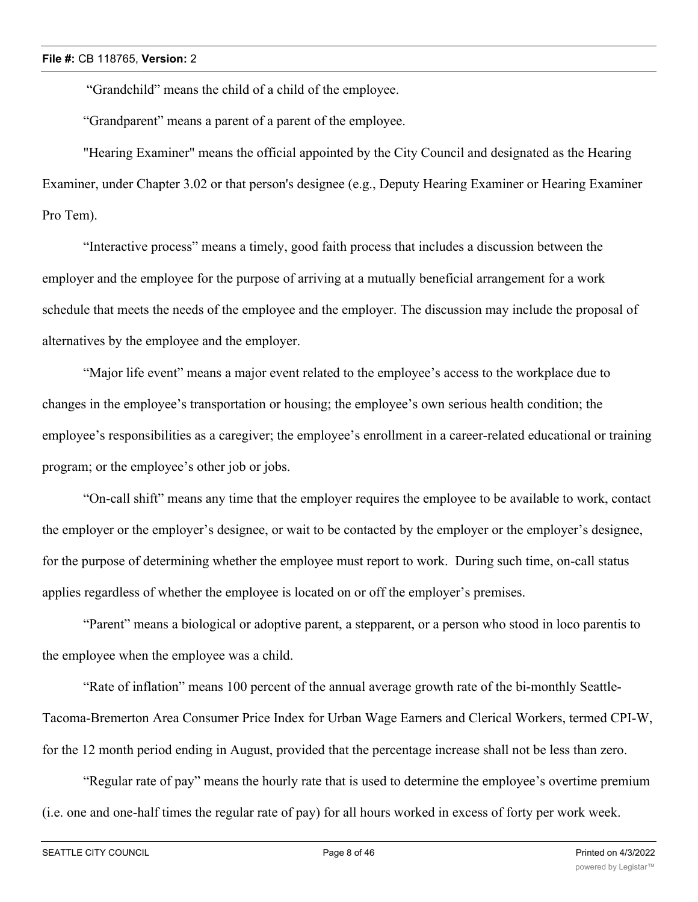"Grandchild" means the child of a child of the employee.

"Grandparent" means a parent of a parent of the employee.

"Hearing Examiner" means the official appointed by the City Council and designated as the Hearing Examiner, under Chapter 3.02 or that person's designee (e.g., Deputy Hearing Examiner or Hearing Examiner Pro Tem).

"Interactive process" means a timely, good faith process that includes a discussion between the employer and the employee for the purpose of arriving at a mutually beneficial arrangement for a work schedule that meets the needs of the employee and the employer. The discussion may include the proposal of alternatives by the employee and the employer.

"Major life event" means a major event related to the employee's access to the workplace due to changes in the employee's transportation or housing; the employee's own serious health condition; the employee's responsibilities as a caregiver; the employee's enrollment in a career-related educational or training program; or the employee's other job or jobs.

"On-call shift" means any time that the employer requires the employee to be available to work, contact the employer or the employer's designee, or wait to be contacted by the employer or the employer's designee, for the purpose of determining whether the employee must report to work. During such time, on-call status applies regardless of whether the employee is located on or off the employer's premises.

"Parent" means a biological or adoptive parent, a stepparent, or a person who stood in loco parentis to the employee when the employee was a child.

"Rate of inflation" means 100 percent of the annual average growth rate of the bi-monthly Seattle-Tacoma-Bremerton Area Consumer Price Index for Urban Wage Earners and Clerical Workers, termed CPI-W, for the 12 month period ending in August, provided that the percentage increase shall not be less than zero.

"Regular rate of pay" means the hourly rate that is used to determine the employee's overtime premium (i.e. one and one-half times the regular rate of pay) for all hours worked in excess of forty per work week.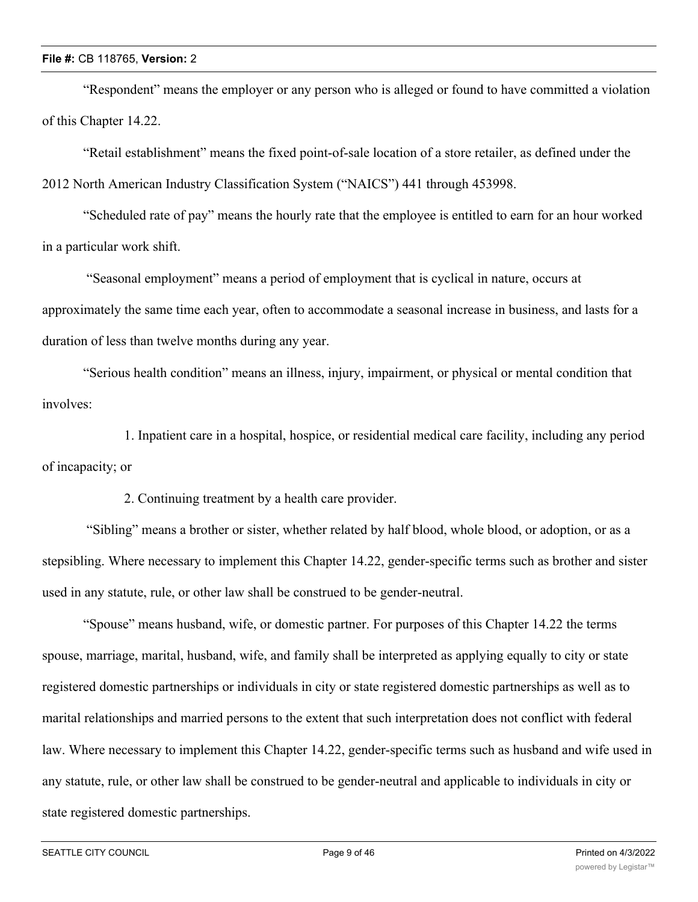"Respondent" means the employer or any person who is alleged or found to have committed a violation of this Chapter 14.22.

"Retail establishment" means the fixed point-of-sale location of a store retailer, as defined under the 2012 North American Industry Classification System ("NAICS") 441 through 453998.

"Scheduled rate of pay" means the hourly rate that the employee is entitled to earn for an hour worked in a particular work shift.

 "Seasonal employment" means a period of employment that is cyclical in nature, occurs at approximately the same time each year, often to accommodate a seasonal increase in business, and lasts for a duration of less than twelve months during any year.

"Serious health condition" means an illness, injury, impairment, or physical or mental condition that involves:

1. Inpatient care in a hospital, hospice, or residential medical care facility, including any period of incapacity; or

2. Continuing treatment by a health care provider.

 "Sibling" means a brother or sister, whether related by half blood, whole blood, or adoption, or as a stepsibling. Where necessary to implement this Chapter 14.22, gender-specific terms such as brother and sister used in any statute, rule, or other law shall be construed to be gender-neutral.

"Spouse" means husband, wife, or domestic partner. For purposes of this Chapter 14.22 the terms spouse, marriage, marital, husband, wife, and family shall be interpreted as applying equally to city or state registered domestic partnerships or individuals in city or state registered domestic partnerships as well as to marital relationships and married persons to the extent that such interpretation does not conflict with federal law. Where necessary to implement this Chapter 14.22, gender-specific terms such as husband and wife used in any statute, rule, or other law shall be construed to be gender-neutral and applicable to individuals in city or state registered domestic partnerships.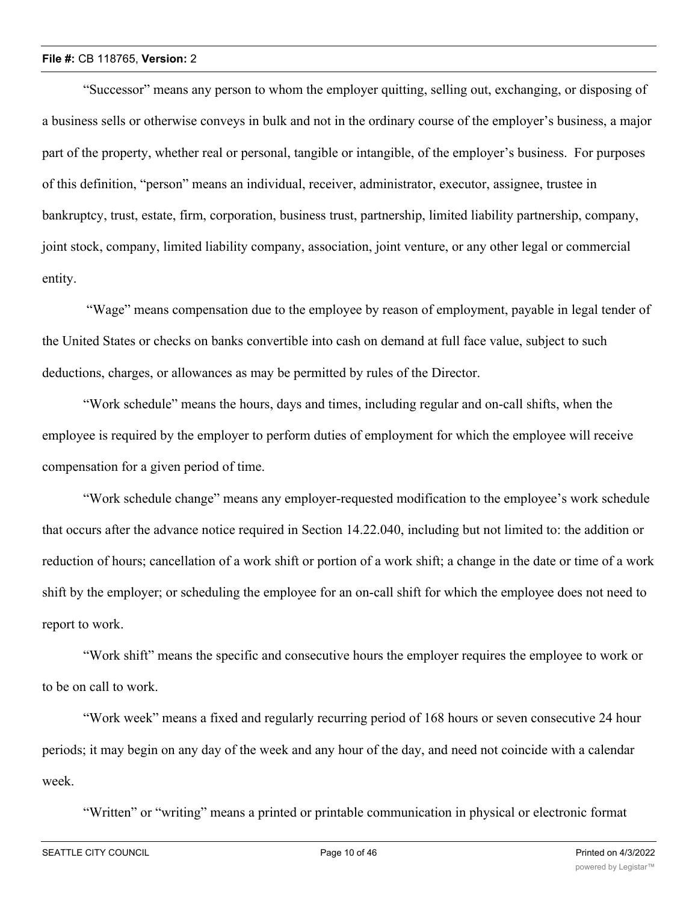"Successor" means any person to whom the employer quitting, selling out, exchanging, or disposing of a business sells or otherwise conveys in bulk and not in the ordinary course of the employer's business, a major part of the property, whether real or personal, tangible or intangible, of the employer's business. For purposes of this definition, "person" means an individual, receiver, administrator, executor, assignee, trustee in bankruptcy, trust, estate, firm, corporation, business trust, partnership, limited liability partnership, company, joint stock, company, limited liability company, association, joint venture, or any other legal or commercial entity.

 "Wage" means compensation due to the employee by reason of employment, payable in legal tender of the United States or checks on banks convertible into cash on demand at full face value, subject to such deductions, charges, or allowances as may be permitted by rules of the Director.

"Work schedule" means the hours, days and times, including regular and on-call shifts, when the employee is required by the employer to perform duties of employment for which the employee will receive compensation for a given period of time.

"Work schedule change" means any employer-requested modification to the employee's work schedule that occurs after the advance notice required in Section 14.22.040, including but not limited to: the addition or reduction of hours; cancellation of a work shift or portion of a work shift; a change in the date or time of a work shift by the employer; or scheduling the employee for an on-call shift for which the employee does not need to report to work.

"Work shift" means the specific and consecutive hours the employer requires the employee to work or to be on call to work.

"Work week" means a fixed and regularly recurring period of 168 hours or seven consecutive 24 hour periods; it may begin on any day of the week and any hour of the day, and need not coincide with a calendar week.

"Written" or "writing" means a printed or printable communication in physical or electronic format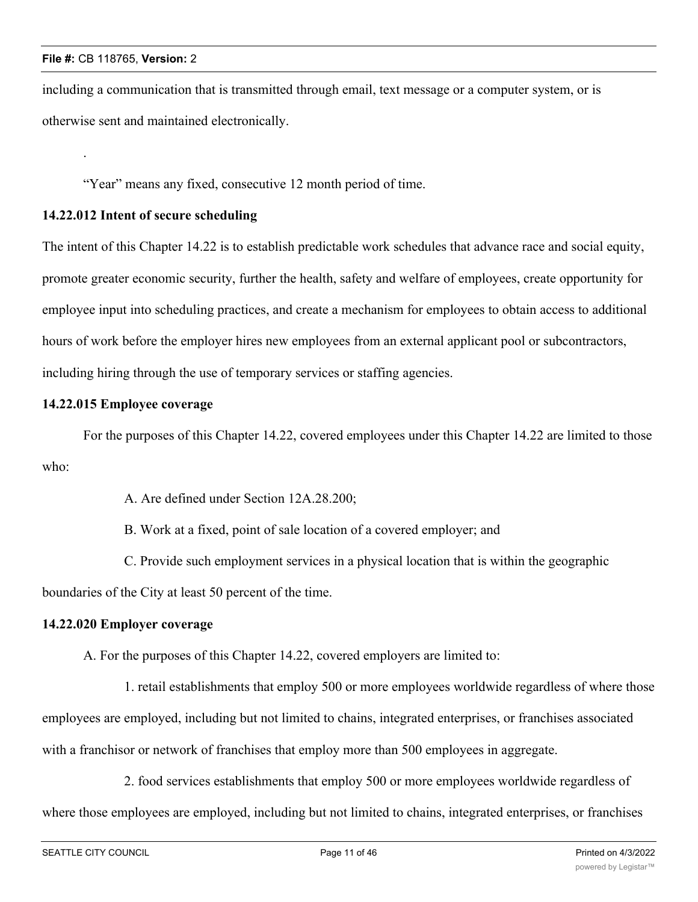.

including a communication that is transmitted through email, text message or a computer system, or is otherwise sent and maintained electronically.

"Year" means any fixed, consecutive 12 month period of time.

# **14.22.012 Intent of secure scheduling**

The intent of this Chapter 14.22 is to establish predictable work schedules that advance race and social equity, promote greater economic security, further the health, safety and welfare of employees, create opportunity for employee input into scheduling practices, and create a mechanism for employees to obtain access to additional hours of work before the employer hires new employees from an external applicant pool or subcontractors, including hiring through the use of temporary services or staffing agencies.

## **14.22.015 Employee coverage**

For the purposes of this Chapter 14.22, covered employees under this Chapter 14.22 are limited to those who:

A. Are defined under Section 12A.28.200;

B. Work at a fixed, point of sale location of a covered employer; and

C. Provide such employment services in a physical location that is within the geographic

boundaries of the City at least 50 percent of the time.

#### **14.22.020 Employer coverage**

A. For the purposes of this Chapter 14.22, covered employers are limited to:

1. retail establishments that employ 500 or more employees worldwide regardless of where those employees are employed, including but not limited to chains, integrated enterprises, or franchises associated with a franchisor or network of franchises that employ more than 500 employees in aggregate.

2. food services establishments that employ 500 or more employees worldwide regardless of where those employees are employed, including but not limited to chains, integrated enterprises, or franchises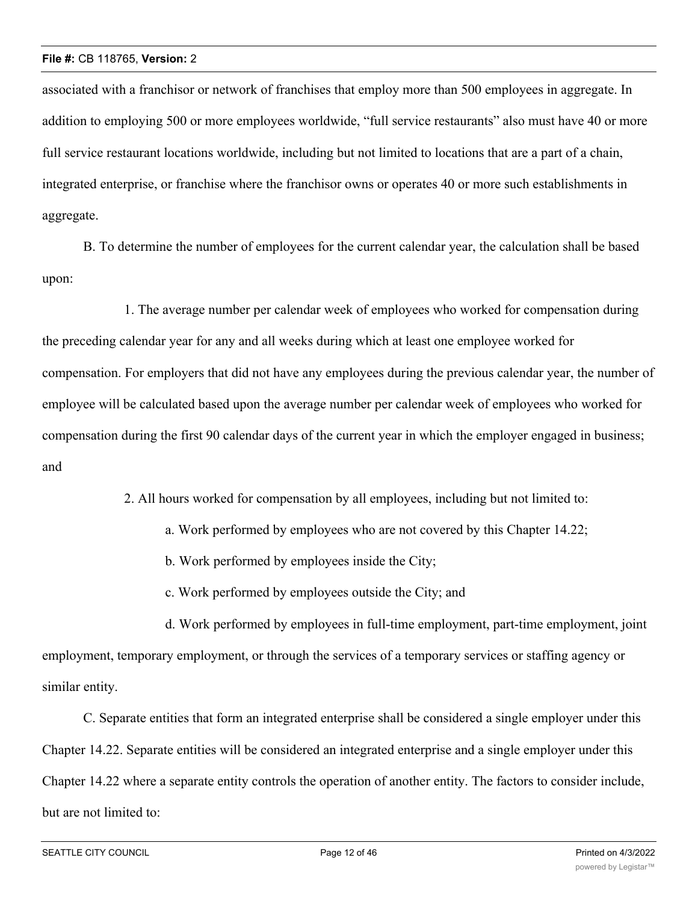associated with a franchisor or network of franchises that employ more than 500 employees in aggregate. In addition to employing 500 or more employees worldwide, "full service restaurants" also must have 40 or more full service restaurant locations worldwide, including but not limited to locations that are a part of a chain, integrated enterprise, or franchise where the franchisor owns or operates 40 or more such establishments in aggregate.

B. To determine the number of employees for the current calendar year, the calculation shall be based upon:

1. The average number per calendar week of employees who worked for compensation during the preceding calendar year for any and all weeks during which at least one employee worked for compensation. For employers that did not have any employees during the previous calendar year, the number of employee will be calculated based upon the average number per calendar week of employees who worked for compensation during the first 90 calendar days of the current year in which the employer engaged in business; and

2. All hours worked for compensation by all employees, including but not limited to:

- a. Work performed by employees who are not covered by this Chapter 14.22;
- b. Work performed by employees inside the City;
- c. Work performed by employees outside the City; and

d. Work performed by employees in full-time employment, part-time employment, joint employment, temporary employment, or through the services of a temporary services or staffing agency or similar entity.

C. Separate entities that form an integrated enterprise shall be considered a single employer under this Chapter 14.22. Separate entities will be considered an integrated enterprise and a single employer under this Chapter 14.22 where a separate entity controls the operation of another entity. The factors to consider include, but are not limited to: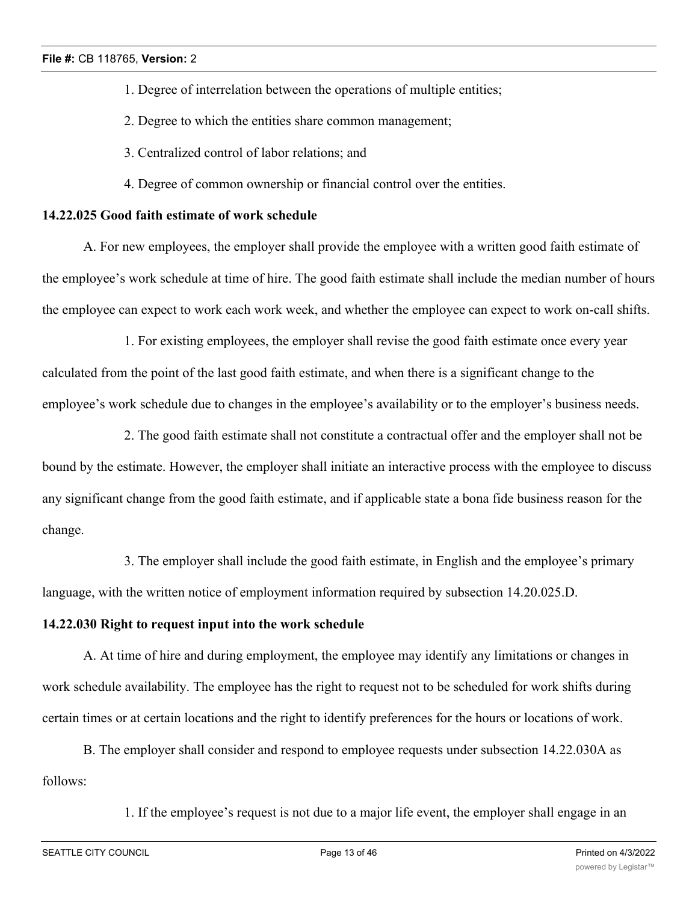- 1. Degree of interrelation between the operations of multiple entities;
- 2. Degree to which the entities share common management;
- 3. Centralized control of labor relations; and
- 4. Degree of common ownership or financial control over the entities.

#### **14.22.025 Good faith estimate of work schedule**

A. For new employees, the employer shall provide the employee with a written good faith estimate of the employee's work schedule at time of hire. The good faith estimate shall include the median number of hours the employee can expect to work each work week, and whether the employee can expect to work on-call shifts.

1. For existing employees, the employer shall revise the good faith estimate once every year calculated from the point of the last good faith estimate, and when there is a significant change to the employee's work schedule due to changes in the employee's availability or to the employer's business needs.

2. The good faith estimate shall not constitute a contractual offer and the employer shall not be bound by the estimate. However, the employer shall initiate an interactive process with the employee to discuss any significant change from the good faith estimate, and if applicable state a bona fide business reason for the change.

3. The employer shall include the good faith estimate, in English and the employee's primary language, with the written notice of employment information required by subsection 14.20.025.D.

## **14.22.030 Right to request input into the work schedule**

A. At time of hire and during employment, the employee may identify any limitations or changes in work schedule availability. The employee has the right to request not to be scheduled for work shifts during certain times or at certain locations and the right to identify preferences for the hours or locations of work.

B. The employer shall consider and respond to employee requests under subsection 14.22.030A as follows:

1. If the employee's request is not due to a major life event, the employer shall engage in an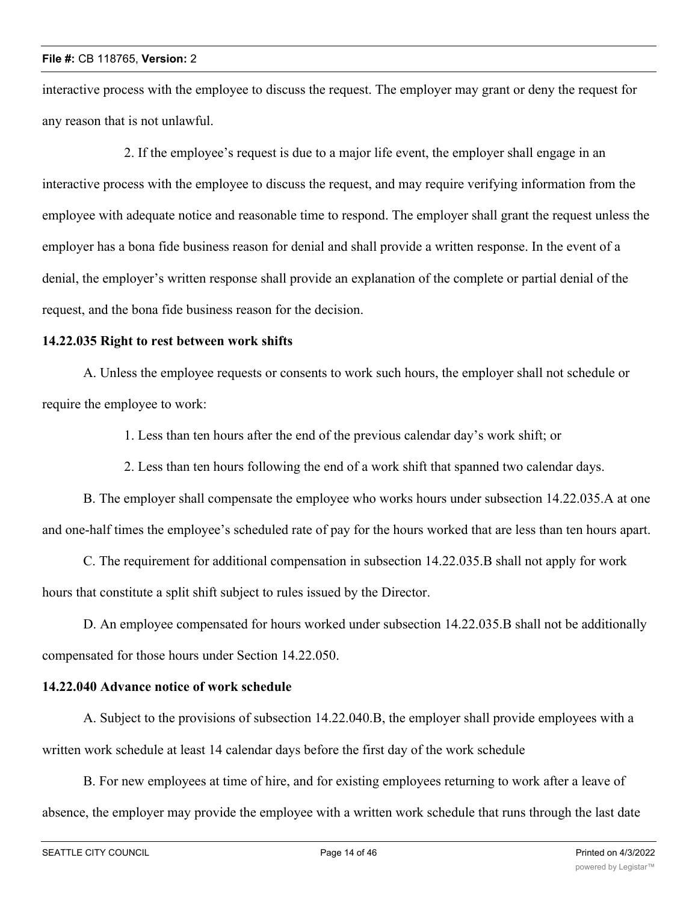interactive process with the employee to discuss the request. The employer may grant or deny the request for any reason that is not unlawful.

2. If the employee's request is due to a major life event, the employer shall engage in an interactive process with the employee to discuss the request, and may require verifying information from the employee with adequate notice and reasonable time to respond. The employer shall grant the request unless the employer has a bona fide business reason for denial and shall provide a written response. In the event of a denial, the employer's written response shall provide an explanation of the complete or partial denial of the request, and the bona fide business reason for the decision.

### **14.22.035 Right to rest between work shifts**

A. Unless the employee requests or consents to work such hours, the employer shall not schedule or require the employee to work:

1. Less than ten hours after the end of the previous calendar day's work shift; or

2. Less than ten hours following the end of a work shift that spanned two calendar days.

B. The employer shall compensate the employee who works hours under subsection 14.22.035.A at one and one-half times the employee's scheduled rate of pay for the hours worked that are less than ten hours apart.

C. The requirement for additional compensation in subsection 14.22.035.B shall not apply for work hours that constitute a split shift subject to rules issued by the Director.

D. An employee compensated for hours worked under subsection 14.22.035.B shall not be additionally compensated for those hours under Section 14.22.050.

# **14.22.040 Advance notice of work schedule**

A. Subject to the provisions of subsection 14.22.040.B, the employer shall provide employees with a written work schedule at least 14 calendar days before the first day of the work schedule

B. For new employees at time of hire, and for existing employees returning to work after a leave of absence, the employer may provide the employee with a written work schedule that runs through the last date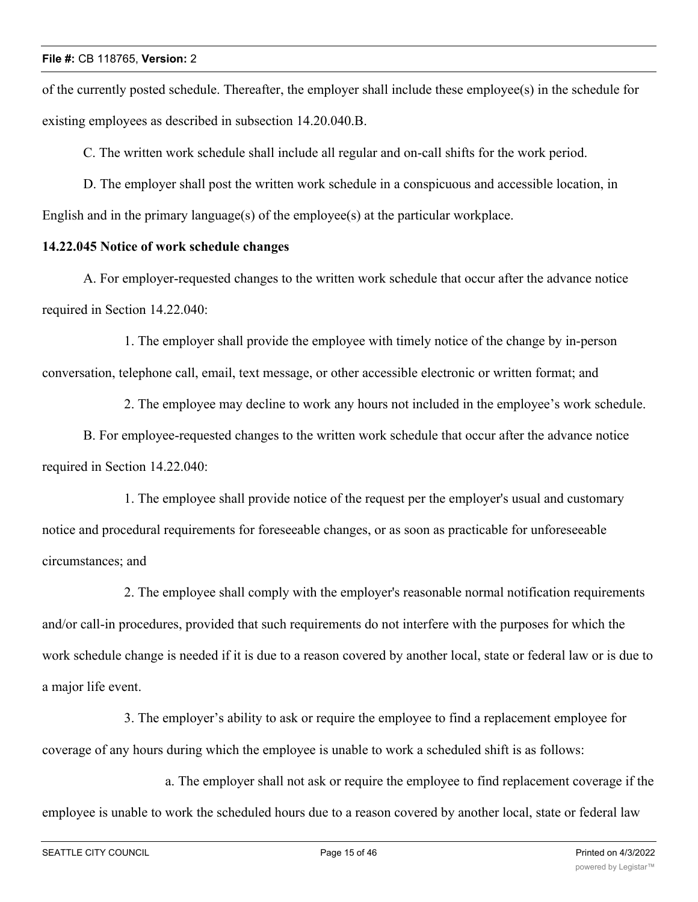of the currently posted schedule. Thereafter, the employer shall include these employee(s) in the schedule for existing employees as described in subsection 14.20.040.B.

C. The written work schedule shall include all regular and on-call shifts for the work period.

D. The employer shall post the written work schedule in a conspicuous and accessible location, in English and in the primary language(s) of the employee(s) at the particular workplace.

#### **14.22.045 Notice of work schedule changes**

A. For employer-requested changes to the written work schedule that occur after the advance notice required in Section 14.22.040:

1. The employer shall provide the employee with timely notice of the change by in-person conversation, telephone call, email, text message, or other accessible electronic or written format; and

2. The employee may decline to work any hours not included in the employee's work schedule.

B. For employee-requested changes to the written work schedule that occur after the advance notice required in Section 14.22.040:

1. The employee shall provide notice of the request per the employer's usual and customary notice and procedural requirements for foreseeable changes, or as soon as practicable for unforeseeable circumstances; and

2. The employee shall comply with the employer's reasonable normal notification requirements and/or call-in procedures, provided that such requirements do not interfere with the purposes for which the work schedule change is needed if it is due to a reason covered by another local, state or federal law or is due to a major life event.

3. The employer's ability to ask or require the employee to find a replacement employee for coverage of any hours during which the employee is unable to work a scheduled shift is as follows:

a. The employer shall not ask or require the employee to find replacement coverage if the employee is unable to work the scheduled hours due to a reason covered by another local, state or federal law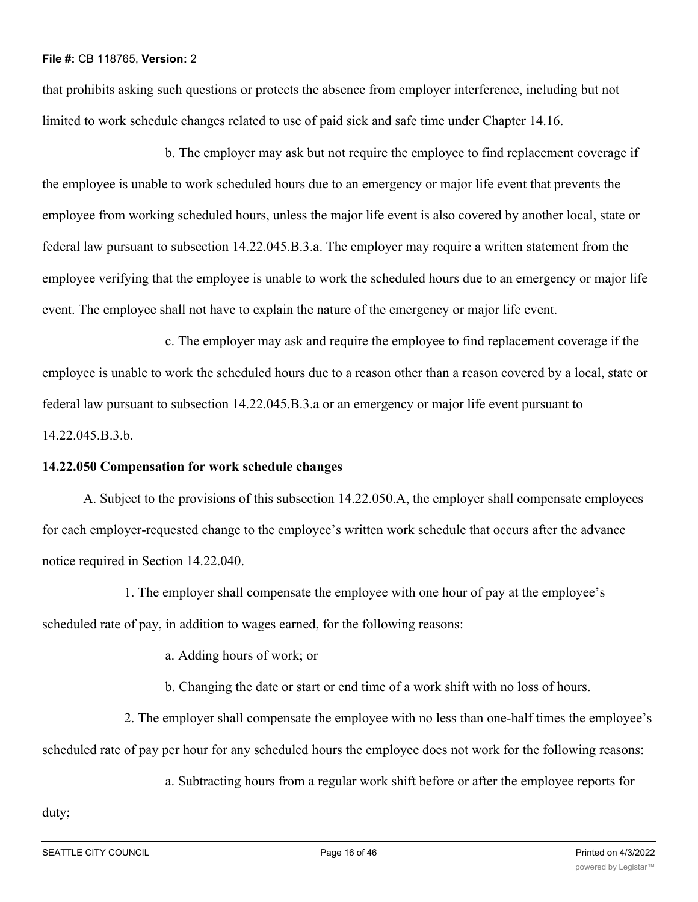that prohibits asking such questions or protects the absence from employer interference, including but not limited to work schedule changes related to use of paid sick and safe time under Chapter 14.16.

b. The employer may ask but not require the employee to find replacement coverage if the employee is unable to work scheduled hours due to an emergency or major life event that prevents the employee from working scheduled hours, unless the major life event is also covered by another local, state or federal law pursuant to subsection 14.22.045.B.3.a. The employer may require a written statement from the employee verifying that the employee is unable to work the scheduled hours due to an emergency or major life event. The employee shall not have to explain the nature of the emergency or major life event.

c. The employer may ask and require the employee to find replacement coverage if the employee is unable to work the scheduled hours due to a reason other than a reason covered by a local, state or federal law pursuant to subsection 14.22.045.B.3.a or an emergency or major life event pursuant to 14.22.045.B.3.b.

# **14.22.050 Compensation for work schedule changes**

A. Subject to the provisions of this subsection 14.22.050.A, the employer shall compensate employees for each employer-requested change to the employee's written work schedule that occurs after the advance notice required in Section 14.22.040.

1. The employer shall compensate the employee with one hour of pay at the employee's scheduled rate of pay, in addition to wages earned, for the following reasons:

a. Adding hours of work; or

b. Changing the date or start or end time of a work shift with no loss of hours.

2. The employer shall compensate the employee with no less than one-half times the employee's scheduled rate of pay per hour for any scheduled hours the employee does not work for the following reasons:

a. Subtracting hours from a regular work shift before or after the employee reports for

duty;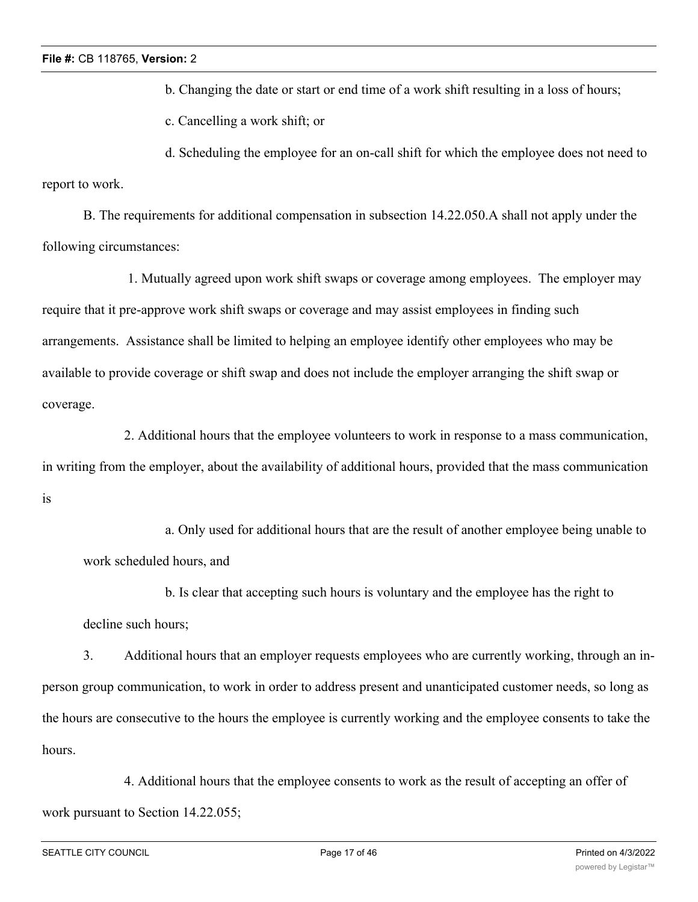b. Changing the date or start or end time of a work shift resulting in a loss of hours;

c. Cancelling a work shift; or

d. Scheduling the employee for an on-call shift for which the employee does not need to report to work.

B. The requirements for additional compensation in subsection 14.22.050.A shall not apply under the following circumstances:

 1. Mutually agreed upon work shift swaps or coverage among employees. The employer may require that it pre-approve work shift swaps or coverage and may assist employees in finding such arrangements. Assistance shall be limited to helping an employee identify other employees who may be available to provide coverage or shift swap and does not include the employer arranging the shift swap or coverage.

2. Additional hours that the employee volunteers to work in response to a mass communication, in writing from the employer, about the availability of additional hours, provided that the mass communication is

a. Only used for additional hours that are the result of another employee being unable to work scheduled hours, and

b. Is clear that accepting such hours is voluntary and the employee has the right to decline such hours;

3. Additional hours that an employer requests employees who are currently working, through an inperson group communication, to work in order to address present and unanticipated customer needs, so long as the hours are consecutive to the hours the employee is currently working and the employee consents to take the hours.

4. Additional hours that the employee consents to work as the result of accepting an offer of work pursuant to Section 14.22.055;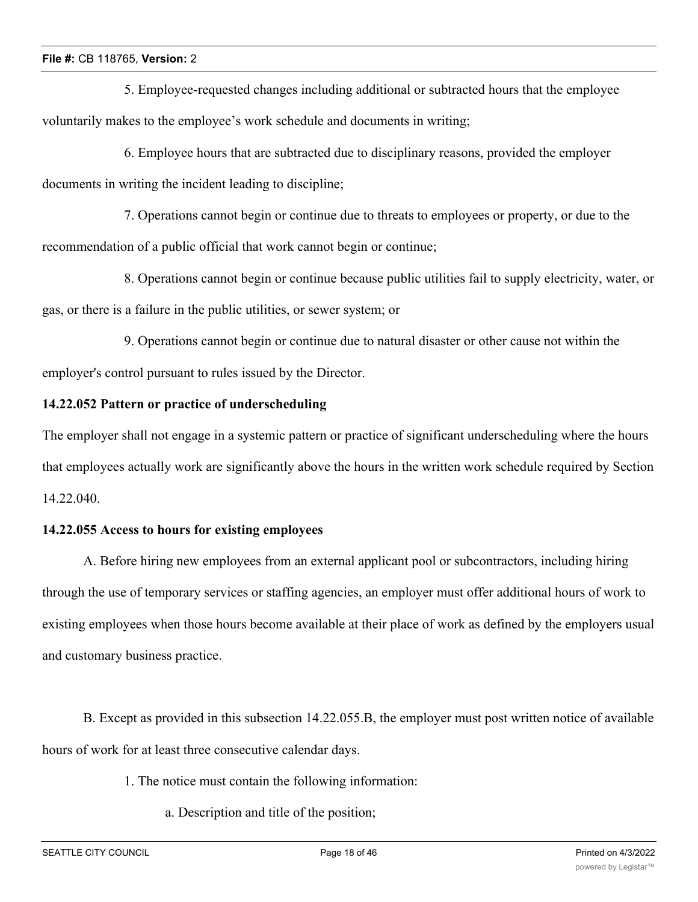5. Employee-requested changes including additional or subtracted hours that the employee voluntarily makes to the employee's work schedule and documents in writing;

6. Employee hours that are subtracted due to disciplinary reasons, provided the employer documents in writing the incident leading to discipline;

7. Operations cannot begin or continue due to threats to employees or property, or due to the recommendation of a public official that work cannot begin or continue;

8. Operations cannot begin or continue because public utilities fail to supply electricity, water, or gas, or there is a failure in the public utilities, or sewer system; or

9. Operations cannot begin or continue due to natural disaster or other cause not within the employer's control pursuant to rules issued by the Director.

# **14.22.052 Pattern or practice of underscheduling**

The employer shall not engage in a systemic pattern or practice of significant underscheduling where the hours that employees actually work are significantly above the hours in the written work schedule required by Section 14.22.040.

#### **14.22.055 Access to hours for existing employees**

A. Before hiring new employees from an external applicant pool or subcontractors, including hiring through the use of temporary services or staffing agencies, an employer must offer additional hours of work to existing employees when those hours become available at their place of work as defined by the employers usual and customary business practice.

B. Except as provided in this subsection 14.22.055.B, the employer must post written notice of available hours of work for at least three consecutive calendar days.

- 1. The notice must contain the following information:
	- a. Description and title of the position;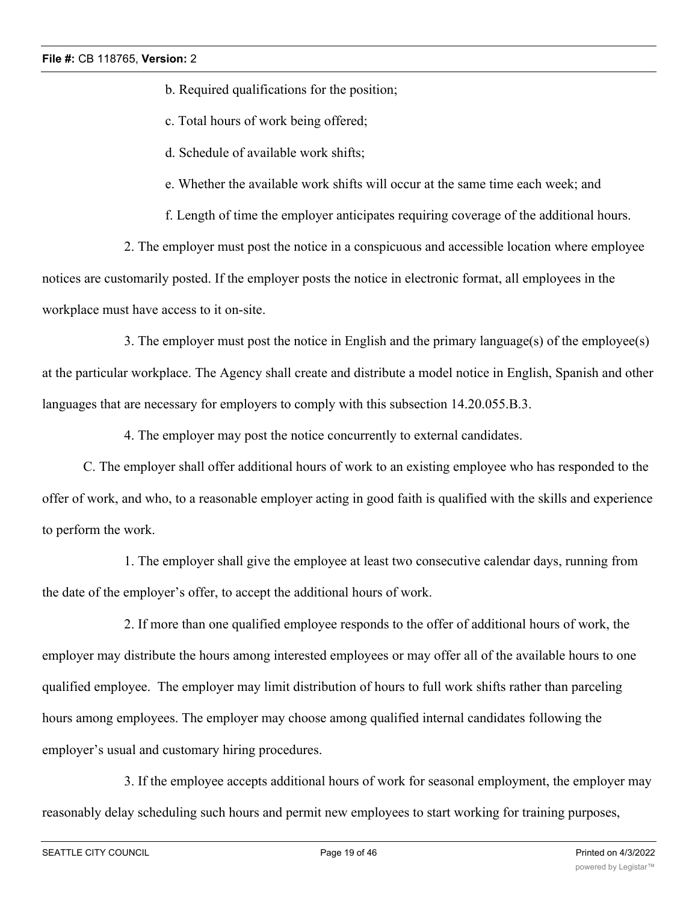b. Required qualifications for the position;

- c. Total hours of work being offered;
- d. Schedule of available work shifts;
- e. Whether the available work shifts will occur at the same time each week; and

f. Length of time the employer anticipates requiring coverage of the additional hours.

2. The employer must post the notice in a conspicuous and accessible location where employee notices are customarily posted. If the employer posts the notice in electronic format, all employees in the workplace must have access to it on-site.

3. The employer must post the notice in English and the primary language(s) of the employee(s) at the particular workplace. The Agency shall create and distribute a model notice in English, Spanish and other languages that are necessary for employers to comply with this subsection 14.20.055.B.3.

4. The employer may post the notice concurrently to external candidates.

C. The employer shall offer additional hours of work to an existing employee who has responded to the offer of work, and who, to a reasonable employer acting in good faith is qualified with the skills and experience to perform the work.

1. The employer shall give the employee at least two consecutive calendar days, running from the date of the employer's offer, to accept the additional hours of work.

2. If more than one qualified employee responds to the offer of additional hours of work, the employer may distribute the hours among interested employees or may offer all of the available hours to one qualified employee. The employer may limit distribution of hours to full work shifts rather than parceling hours among employees. The employer may choose among qualified internal candidates following the employer's usual and customary hiring procedures.

3. If the employee accepts additional hours of work for seasonal employment, the employer may reasonably delay scheduling such hours and permit new employees to start working for training purposes,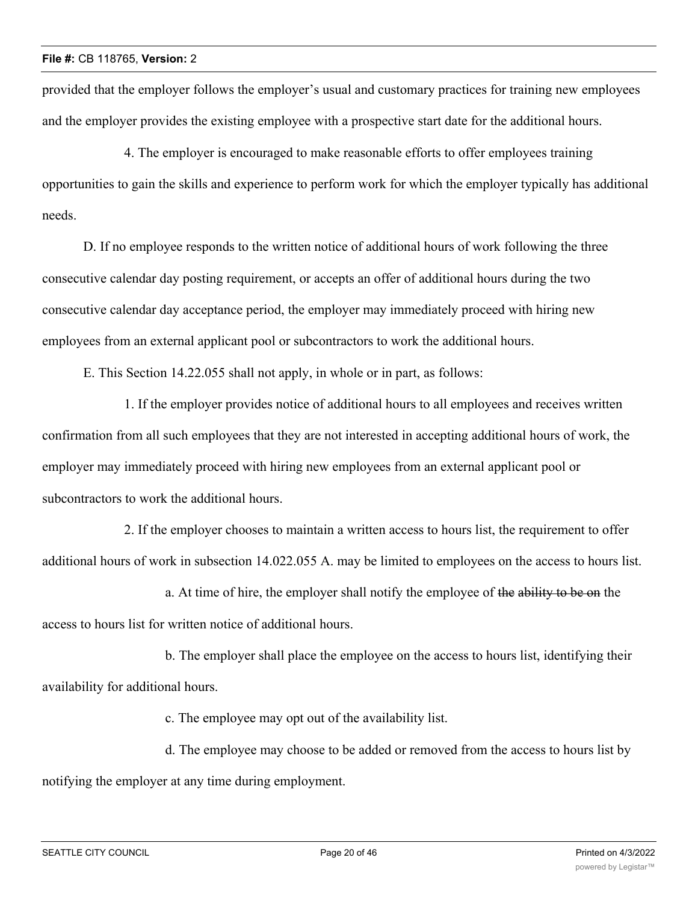provided that the employer follows the employer's usual and customary practices for training new employees and the employer provides the existing employee with a prospective start date for the additional hours.

4. The employer is encouraged to make reasonable efforts to offer employees training opportunities to gain the skills and experience to perform work for which the employer typically has additional needs.

D. If no employee responds to the written notice of additional hours of work following the three consecutive calendar day posting requirement, or accepts an offer of additional hours during the two consecutive calendar day acceptance period, the employer may immediately proceed with hiring new employees from an external applicant pool or subcontractors to work the additional hours.

E. This Section 14.22.055 shall not apply, in whole or in part, as follows:

1. If the employer provides notice of additional hours to all employees and receives written confirmation from all such employees that they are not interested in accepting additional hours of work, the employer may immediately proceed with hiring new employees from an external applicant pool or subcontractors to work the additional hours.

2. If the employer chooses to maintain a written access to hours list, the requirement to offer additional hours of work in subsection 14.022.055 A. may be limited to employees on the access to hours list.

a. At time of hire, the employer shall notify the employee of the ability to be on the access to hours list for written notice of additional hours.

b. The employer shall place the employee on the access to hours list, identifying their availability for additional hours.

c. The employee may opt out of the availability list.

d. The employee may choose to be added or removed from the access to hours list by notifying the employer at any time during employment.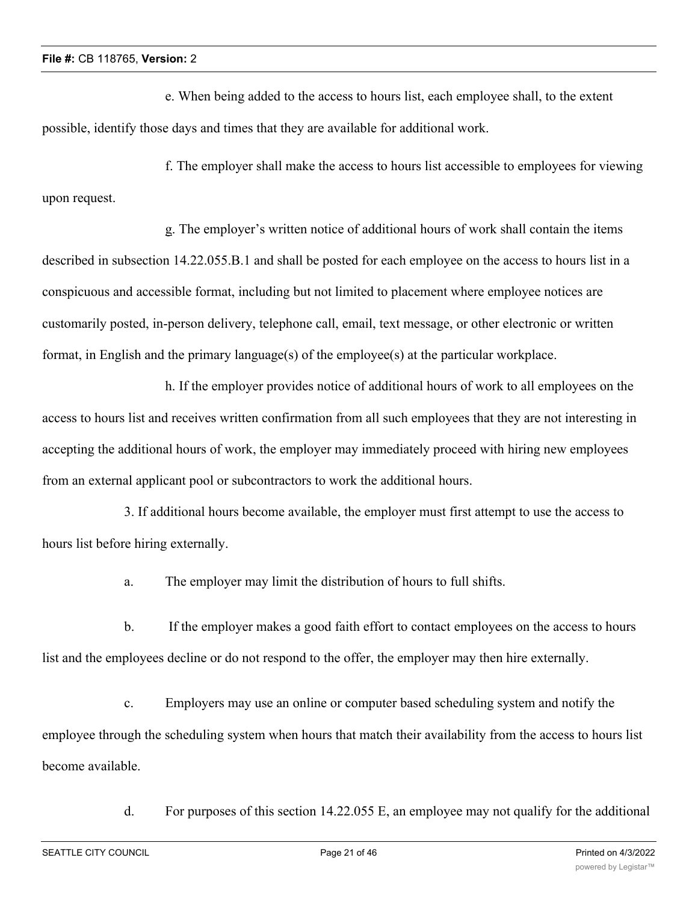e. When being added to the access to hours list, each employee shall, to the extent possible, identify those days and times that they are available for additional work.

f. The employer shall make the access to hours list accessible to employees for viewing upon request.

g. The employer's written notice of additional hours of work shall contain the items described in subsection 14.22.055.B.1 and shall be posted for each employee on the access to hours list in a conspicuous and accessible format, including but not limited to placement where employee notices are customarily posted, in-person delivery, telephone call, email, text message, or other electronic or written format, in English and the primary language(s) of the employee(s) at the particular workplace.

h. If the employer provides notice of additional hours of work to all employees on the access to hours list and receives written confirmation from all such employees that they are not interesting in accepting the additional hours of work, the employer may immediately proceed with hiring new employees from an external applicant pool or subcontractors to work the additional hours.

3. If additional hours become available, the employer must first attempt to use the access to hours list before hiring externally.

a. The employer may limit the distribution of hours to full shifts.

b. If the employer makes a good faith effort to contact employees on the access to hours list and the employees decline or do not respond to the offer, the employer may then hire externally.

c. Employers may use an online or computer based scheduling system and notify the employee through the scheduling system when hours that match their availability from the access to hours list become available.

d. For purposes of this section 14.22.055 E, an employee may not qualify for the additional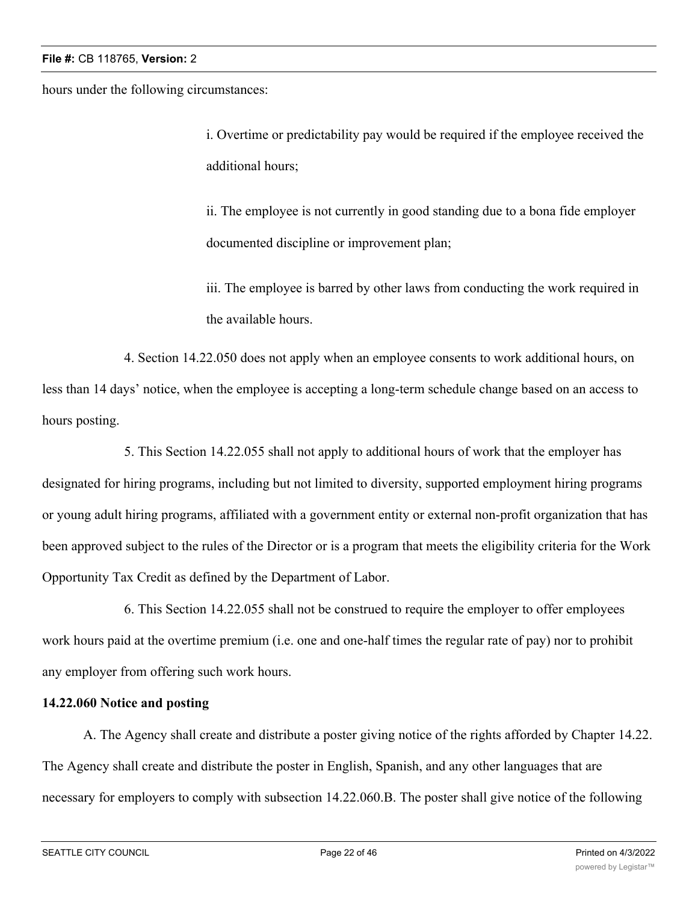hours under the following circumstances:

i. Overtime or predictability pay would be required if the employee received the additional hours;

ii. The employee is not currently in good standing due to a bona fide employer documented discipline or improvement plan;

iii. The employee is barred by other laws from conducting the work required in the available hours.

4. Section 14.22.050 does not apply when an employee consents to work additional hours, on less than 14 days' notice, when the employee is accepting a long-term schedule change based on an access to hours posting.

5. This Section 14.22.055 shall not apply to additional hours of work that the employer has designated for hiring programs, including but not limited to diversity, supported employment hiring programs or young adult hiring programs, affiliated with a government entity or external non-profit organization that has been approved subject to the rules of the Director or is a program that meets the eligibility criteria for the Work Opportunity Tax Credit as defined by the Department of Labor.

6. This Section 14.22.055 shall not be construed to require the employer to offer employees work hours paid at the overtime premium (i.e. one and one-half times the regular rate of pay) nor to prohibit any employer from offering such work hours.

# **14.22.060 Notice and posting**

A. The Agency shall create and distribute a poster giving notice of the rights afforded by Chapter 14.22. The Agency shall create and distribute the poster in English, Spanish, and any other languages that are necessary for employers to comply with subsection 14.22.060.B. The poster shall give notice of the following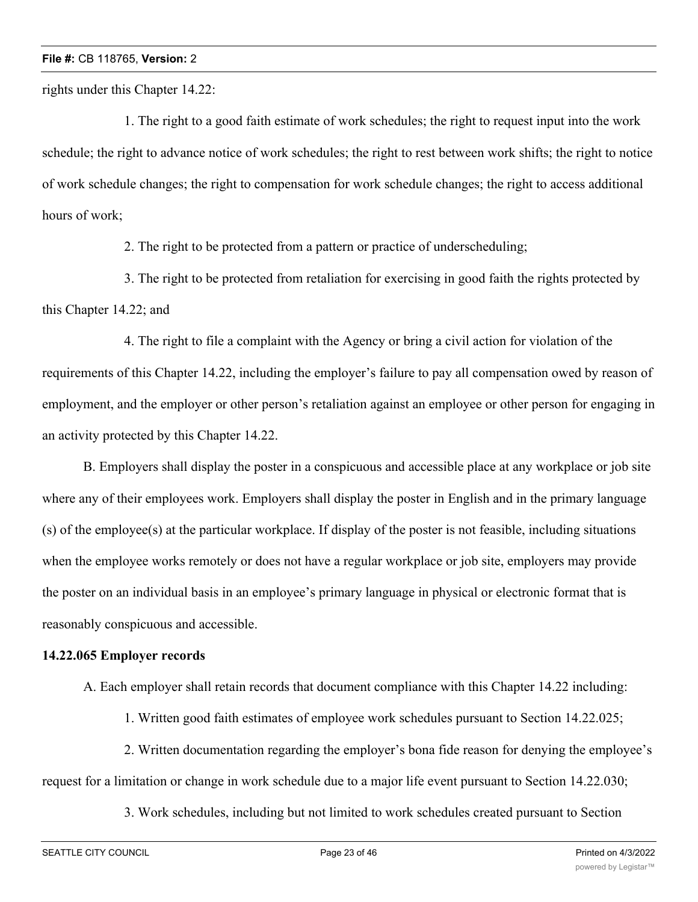rights under this Chapter 14.22:

1. The right to a good faith estimate of work schedules; the right to request input into the work schedule; the right to advance notice of work schedules; the right to rest between work shifts; the right to notice of work schedule changes; the right to compensation for work schedule changes; the right to access additional hours of work;

2. The right to be protected from a pattern or practice of underscheduling;

3. The right to be protected from retaliation for exercising in good faith the rights protected by this Chapter 14.22; and

4. The right to file a complaint with the Agency or bring a civil action for violation of the requirements of this Chapter 14.22, including the employer's failure to pay all compensation owed by reason of employment, and the employer or other person's retaliation against an employee or other person for engaging in an activity protected by this Chapter 14.22.

B. Employers shall display the poster in a conspicuous and accessible place at any workplace or job site where any of their employees work. Employers shall display the poster in English and in the primary language (s) of the employee(s) at the particular workplace. If display of the poster is not feasible, including situations when the employee works remotely or does not have a regular workplace or job site, employers may provide the poster on an individual basis in an employee's primary language in physical or electronic format that is reasonably conspicuous and accessible.

# **14.22.065 Employer records**

A. Each employer shall retain records that document compliance with this Chapter 14.22 including:

1. Written good faith estimates of employee work schedules pursuant to Section 14.22.025;

2. Written documentation regarding the employer's bona fide reason for denying the employee's request for a limitation or change in work schedule due to a major life event pursuant to Section 14.22.030;

3. Work schedules, including but not limited to work schedules created pursuant to Section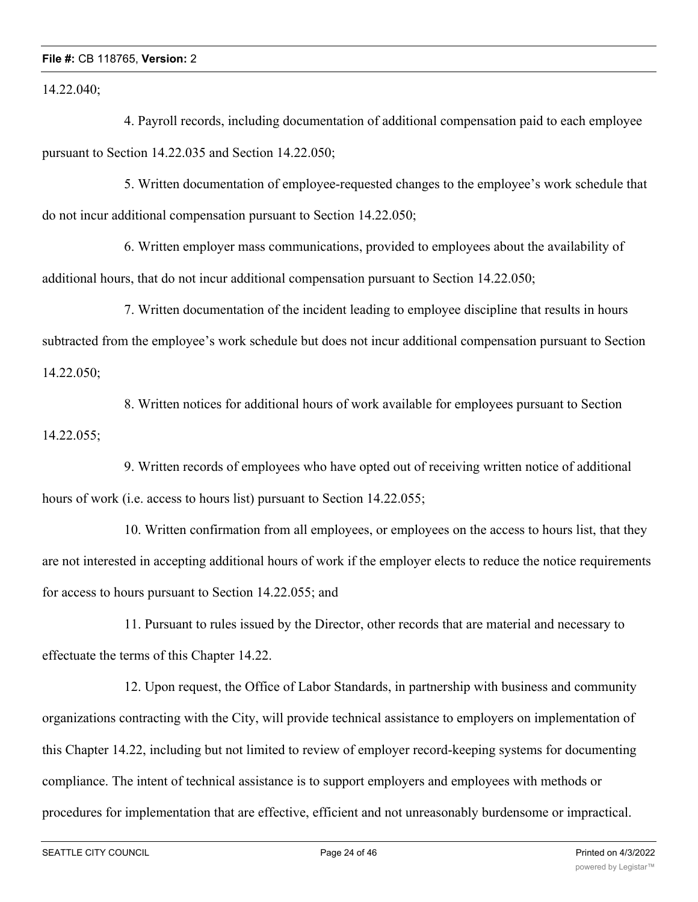14.22.040;

4. Payroll records, including documentation of additional compensation paid to each employee pursuant to Section 14.22.035 and Section 14.22.050;

5. Written documentation of employee-requested changes to the employee's work schedule that do not incur additional compensation pursuant to Section 14.22.050;

6. Written employer mass communications, provided to employees about the availability of additional hours, that do not incur additional compensation pursuant to Section 14.22.050;

7. Written documentation of the incident leading to employee discipline that results in hours subtracted from the employee's work schedule but does not incur additional compensation pursuant to Section 14.22.050;

8. Written notices for additional hours of work available for employees pursuant to Section 14.22.055;

9. Written records of employees who have opted out of receiving written notice of additional hours of work (i.e. access to hours list) pursuant to Section 14.22.055;

10. Written confirmation from all employees, or employees on the access to hours list, that they are not interested in accepting additional hours of work if the employer elects to reduce the notice requirements for access to hours pursuant to Section 14.22.055; and

11. Pursuant to rules issued by the Director, other records that are material and necessary to effectuate the terms of this Chapter 14.22.

12. Upon request, the Office of Labor Standards, in partnership with business and community organizations contracting with the City, will provide technical assistance to employers on implementation of this Chapter 14.22, including but not limited to review of employer record-keeping systems for documenting compliance. The intent of technical assistance is to support employers and employees with methods or procedures for implementation that are effective, efficient and not unreasonably burdensome or impractical.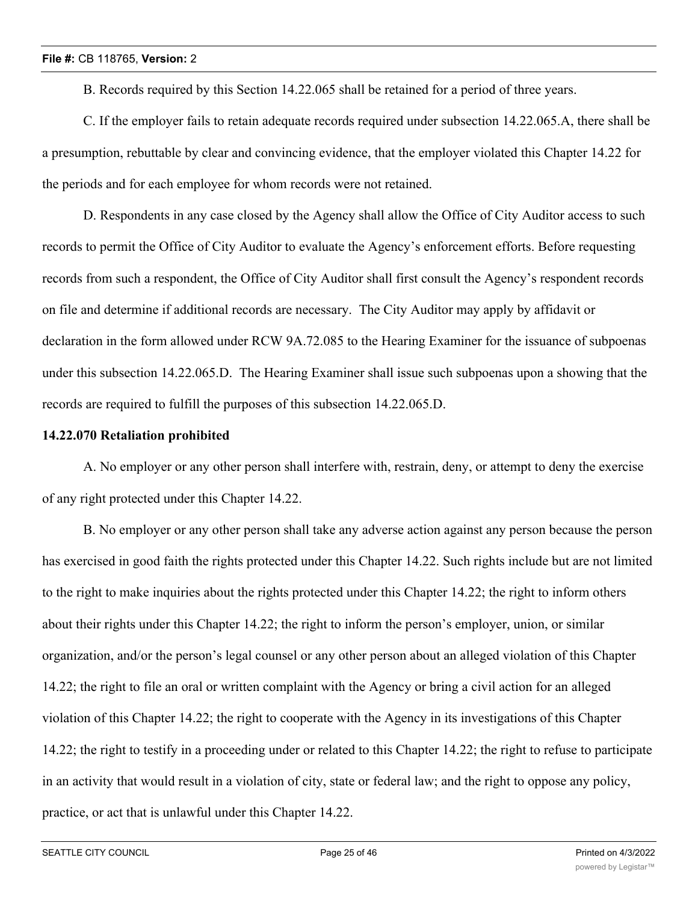B. Records required by this Section 14.22.065 shall be retained for a period of three years.

C. If the employer fails to retain adequate records required under subsection 14.22.065.A, there shall be a presumption, rebuttable by clear and convincing evidence, that the employer violated this Chapter 14.22 for the periods and for each employee for whom records were not retained.

D. Respondents in any case closed by the Agency shall allow the Office of City Auditor access to such records to permit the Office of City Auditor to evaluate the Agency's enforcement efforts. Before requesting records from such a respondent, the Office of City Auditor shall first consult the Agency's respondent records on file and determine if additional records are necessary. The City Auditor may apply by affidavit or declaration in the form allowed under RCW 9A.72.085 to the Hearing Examiner for the issuance of subpoenas under this subsection 14.22.065.D. The Hearing Examiner shall issue such subpoenas upon a showing that the records are required to fulfill the purposes of this subsection 14.22.065.D.

## **14.22.070 Retaliation prohibited**

A. No employer or any other person shall interfere with, restrain, deny, or attempt to deny the exercise of any right protected under this Chapter 14.22.

B. No employer or any other person shall take any adverse action against any person because the person has exercised in good faith the rights protected under this Chapter 14.22. Such rights include but are not limited to the right to make inquiries about the rights protected under this Chapter 14.22; the right to inform others about their rights under this Chapter 14.22; the right to inform the person's employer, union, or similar organization, and/or the person's legal counsel or any other person about an alleged violation of this Chapter 14.22; the right to file an oral or written complaint with the Agency or bring a civil action for an alleged violation of this Chapter 14.22; the right to cooperate with the Agency in its investigations of this Chapter 14.22; the right to testify in a proceeding under or related to this Chapter 14.22; the right to refuse to participate in an activity that would result in a violation of city, state or federal law; and the right to oppose any policy, practice, or act that is unlawful under this Chapter 14.22.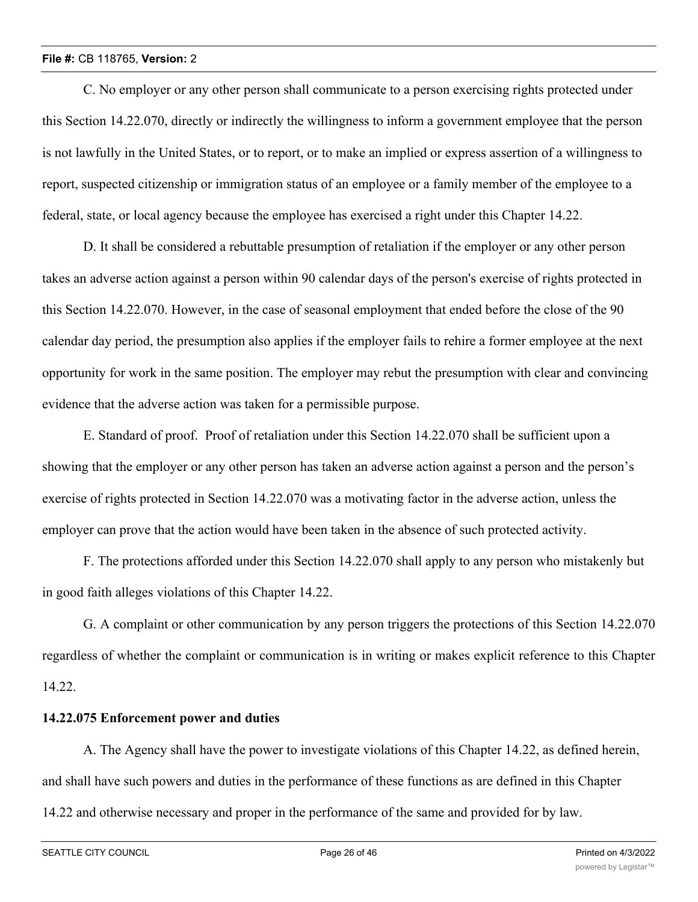C. No employer or any other person shall communicate to a person exercising rights protected under this Section 14.22.070, directly or indirectly the willingness to inform a government employee that the person is not lawfully in the United States, or to report, or to make an implied or express assertion of a willingness to report, suspected citizenship or immigration status of an employee or a family member of the employee to a federal, state, or local agency because the employee has exercised a right under this Chapter 14.22.

D. It shall be considered a rebuttable presumption of retaliation if the employer or any other person takes an adverse action against a person within 90 calendar days of the person's exercise of rights protected in this Section 14.22.070. However, in the case of seasonal employment that ended before the close of the 90 calendar day period, the presumption also applies if the employer fails to rehire a former employee at the next opportunity for work in the same position. The employer may rebut the presumption with clear and convincing evidence that the adverse action was taken for a permissible purpose.

E. Standard of proof. Proof of retaliation under this Section 14.22.070 shall be sufficient upon a showing that the employer or any other person has taken an adverse action against a person and the person's exercise of rights protected in Section 14.22.070 was a motivating factor in the adverse action, unless the employer can prove that the action would have been taken in the absence of such protected activity.

F. The protections afforded under this Section 14.22.070 shall apply to any person who mistakenly but in good faith alleges violations of this Chapter 14.22.

G. A complaint or other communication by any person triggers the protections of this Section 14.22.070 regardless of whether the complaint or communication is in writing or makes explicit reference to this Chapter 14.22.

# **14.22.075 Enforcement power and duties**

A. The Agency shall have the power to investigate violations of this Chapter 14.22, as defined herein, and shall have such powers and duties in the performance of these functions as are defined in this Chapter 14.22 and otherwise necessary and proper in the performance of the same and provided for by law.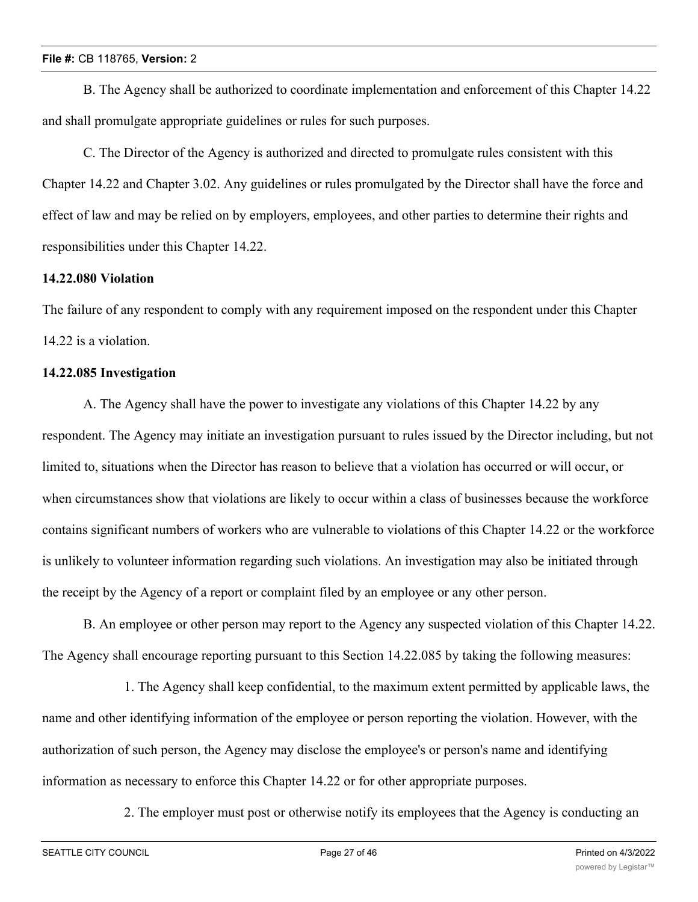B. The Agency shall be authorized to coordinate implementation and enforcement of this Chapter 14.22 and shall promulgate appropriate guidelines or rules for such purposes.

C. The Director of the Agency is authorized and directed to promulgate rules consistent with this Chapter 14.22 and Chapter 3.02. Any guidelines or rules promulgated by the Director shall have the force and effect of law and may be relied on by employers, employees, and other parties to determine their rights and responsibilities under this Chapter 14.22.

# **14.22.080 Violation**

The failure of any respondent to comply with any requirement imposed on the respondent under this Chapter 14.22 is a violation.

# **14.22.085 Investigation**

A. The Agency shall have the power to investigate any violations of this Chapter 14.22 by any respondent. The Agency may initiate an investigation pursuant to rules issued by the Director including, but not limited to, situations when the Director has reason to believe that a violation has occurred or will occur, or when circumstances show that violations are likely to occur within a class of businesses because the workforce contains significant numbers of workers who are vulnerable to violations of this Chapter 14.22 or the workforce is unlikely to volunteer information regarding such violations. An investigation may also be initiated through the receipt by the Agency of a report or complaint filed by an employee or any other person.

B. An employee or other person may report to the Agency any suspected violation of this Chapter 14.22. The Agency shall encourage reporting pursuant to this Section 14.22.085 by taking the following measures:

1. The Agency shall keep confidential, to the maximum extent permitted by applicable laws, the name and other identifying information of the employee or person reporting the violation. However, with the authorization of such person, the Agency may disclose the employee's or person's name and identifying information as necessary to enforce this Chapter 14.22 or for other appropriate purposes.

2. The employer must post or otherwise notify its employees that the Agency is conducting an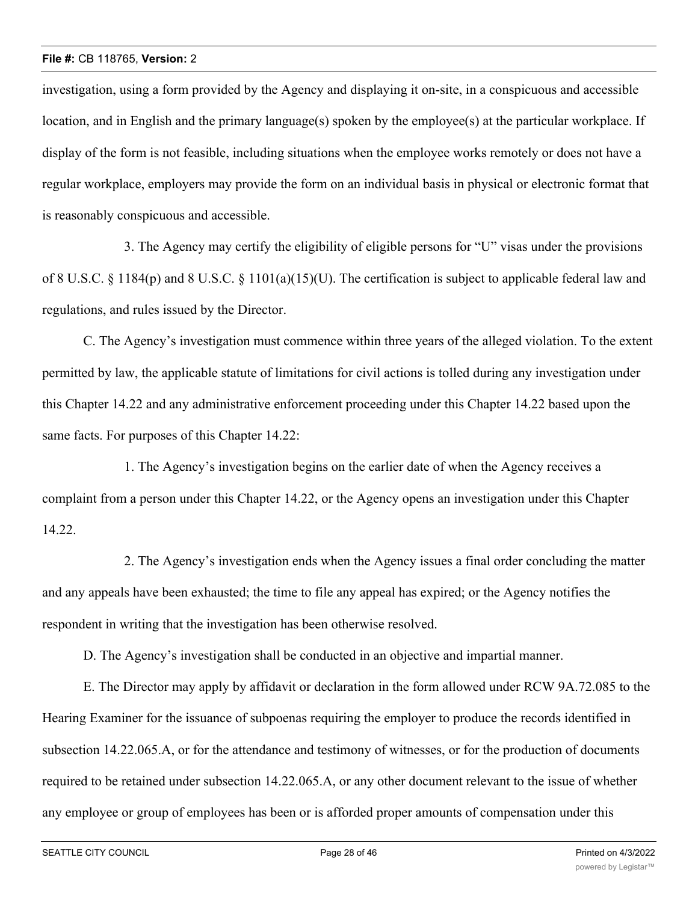investigation, using a form provided by the Agency and displaying it on-site, in a conspicuous and accessible location, and in English and the primary language(s) spoken by the employee(s) at the particular workplace. If display of the form is not feasible, including situations when the employee works remotely or does not have a regular workplace, employers may provide the form on an individual basis in physical or electronic format that is reasonably conspicuous and accessible.

3. The Agency may certify the eligibility of eligible persons for "U" visas under the provisions of 8 U.S.C. § 1184(p) and 8 U.S.C. § 1101(a)(15)(U). The certification is subject to applicable federal law and regulations, and rules issued by the Director.

C. The Agency's investigation must commence within three years of the alleged violation. To the extent permitted by law, the applicable statute of limitations for civil actions is tolled during any investigation under this Chapter 14.22 and any administrative enforcement proceeding under this Chapter 14.22 based upon the same facts. For purposes of this Chapter 14.22:

1. The Agency's investigation begins on the earlier date of when the Agency receives a complaint from a person under this Chapter 14.22, or the Agency opens an investigation under this Chapter 14.22.

2. The Agency's investigation ends when the Agency issues a final order concluding the matter and any appeals have been exhausted; the time to file any appeal has expired; or the Agency notifies the respondent in writing that the investigation has been otherwise resolved.

D. The Agency's investigation shall be conducted in an objective and impartial manner.

E. The Director may apply by affidavit or declaration in the form allowed under RCW 9A.72.085 to the Hearing Examiner for the issuance of subpoenas requiring the employer to produce the records identified in subsection 14.22.065.A, or for the attendance and testimony of witnesses, or for the production of documents required to be retained under subsection 14.22.065.A, or any other document relevant to the issue of whether any employee or group of employees has been or is afforded proper amounts of compensation under this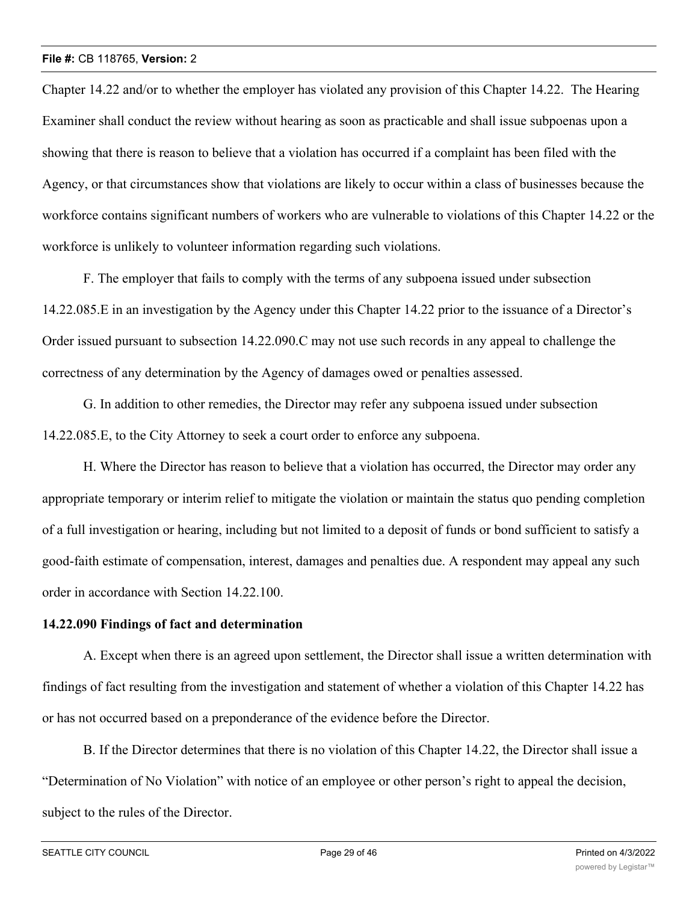Chapter 14.22 and/or to whether the employer has violated any provision of this Chapter 14.22. The Hearing Examiner shall conduct the review without hearing as soon as practicable and shall issue subpoenas upon a showing that there is reason to believe that a violation has occurred if a complaint has been filed with the Agency, or that circumstances show that violations are likely to occur within a class of businesses because the workforce contains significant numbers of workers who are vulnerable to violations of this Chapter 14.22 or the workforce is unlikely to volunteer information regarding such violations.

F. The employer that fails to comply with the terms of any subpoena issued under subsection 14.22.085.E in an investigation by the Agency under this Chapter 14.22 prior to the issuance of a Director's Order issued pursuant to subsection 14.22.090.C may not use such records in any appeal to challenge the correctness of any determination by the Agency of damages owed or penalties assessed.

G. In addition to other remedies, the Director may refer any subpoena issued under subsection 14.22.085.E, to the City Attorney to seek a court order to enforce any subpoena.

H. Where the Director has reason to believe that a violation has occurred, the Director may order any appropriate temporary or interim relief to mitigate the violation or maintain the status quo pending completion of a full investigation or hearing, including but not limited to a deposit of funds or bond sufficient to satisfy a good-faith estimate of compensation, interest, damages and penalties due. A respondent may appeal any such order in accordance with Section 14.22.100.

## **14.22.090 Findings of fact and determination**

A. Except when there is an agreed upon settlement, the Director shall issue a written determination with findings of fact resulting from the investigation and statement of whether a violation of this Chapter 14.22 has or has not occurred based on a preponderance of the evidence before the Director.

B. If the Director determines that there is no violation of this Chapter 14.22, the Director shall issue a "Determination of No Violation" with notice of an employee or other person's right to appeal the decision, subject to the rules of the Director.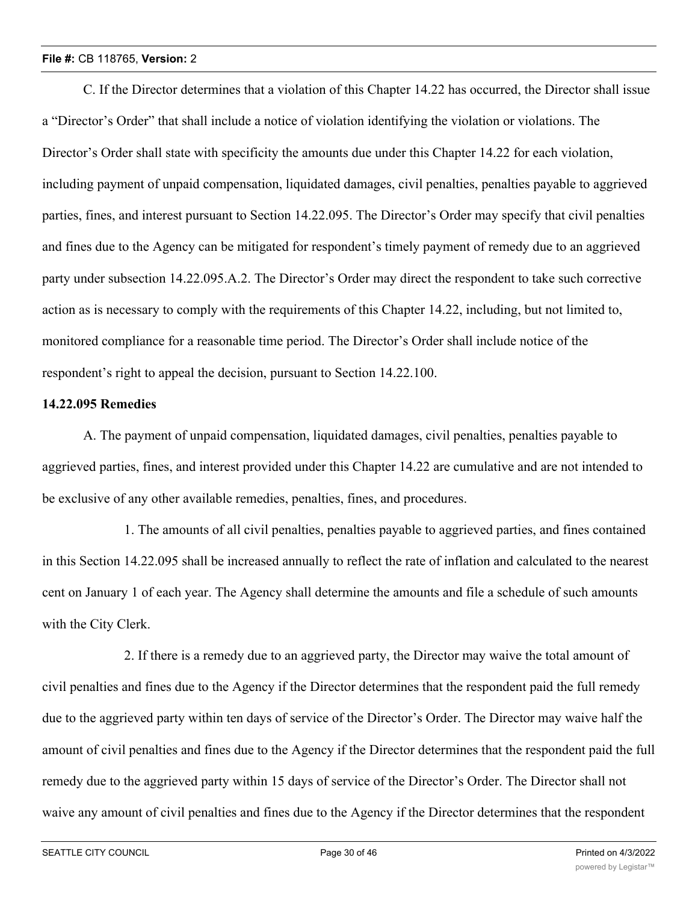C. If the Director determines that a violation of this Chapter 14.22 has occurred, the Director shall issue a "Director's Order" that shall include a notice of violation identifying the violation or violations. The Director's Order shall state with specificity the amounts due under this Chapter 14.22 for each violation, including payment of unpaid compensation, liquidated damages, civil penalties, penalties payable to aggrieved parties, fines, and interest pursuant to Section 14.22.095. The Director's Order may specify that civil penalties and fines due to the Agency can be mitigated for respondent's timely payment of remedy due to an aggrieved party under subsection 14.22.095.A.2. The Director's Order may direct the respondent to take such corrective action as is necessary to comply with the requirements of this Chapter 14.22, including, but not limited to, monitored compliance for a reasonable time period. The Director's Order shall include notice of the respondent's right to appeal the decision, pursuant to Section 14.22.100.

#### **14.22.095 Remedies**

A. The payment of unpaid compensation, liquidated damages, civil penalties, penalties payable to aggrieved parties, fines, and interest provided under this Chapter 14.22 are cumulative and are not intended to be exclusive of any other available remedies, penalties, fines, and procedures.

1. The amounts of all civil penalties, penalties payable to aggrieved parties, and fines contained in this Section 14.22.095 shall be increased annually to reflect the rate of inflation and calculated to the nearest cent on January 1 of each year. The Agency shall determine the amounts and file a schedule of such amounts with the City Clerk.

2. If there is a remedy due to an aggrieved party, the Director may waive the total amount of civil penalties and fines due to the Agency if the Director determines that the respondent paid the full remedy due to the aggrieved party within ten days of service of the Director's Order. The Director may waive half the amount of civil penalties and fines due to the Agency if the Director determines that the respondent paid the full remedy due to the aggrieved party within 15 days of service of the Director's Order. The Director shall not waive any amount of civil penalties and fines due to the Agency if the Director determines that the respondent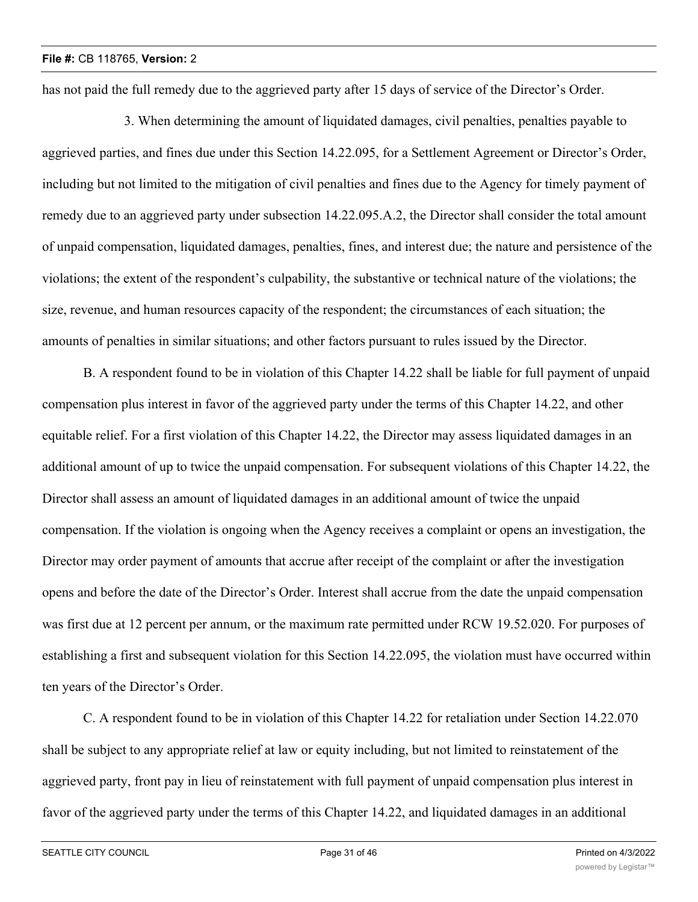has not paid the full remedy due to the aggrieved party after 15 days of service of the Director's Order.

3. When determining the amount of liquidated damages, civil penalties, penalties payable to aggrieved parties, and fines due under this Section 14.22.095, for a Settlement Agreement or Director's Order, including but not limited to the mitigation of civil penalties and fines due to the Agency for timely payment of remedy due to an aggrieved party under subsection 14.22.095.A.2, the Director shall consider the total amount of unpaid compensation, liquidated damages, penalties, fines, and interest due; the nature and persistence of the violations; the extent of the respondent's culpability, the substantive or technical nature of the violations; the size, revenue, and human resources capacity of the respondent; the circumstances of each situation; the amounts of penalties in similar situations; and other factors pursuant to rules issued by the Director.

B. A respondent found to be in violation of this Chapter 14.22 shall be liable for full payment of unpaid compensation plus interest in favor of the aggrieved party under the terms of this Chapter 14.22, and other equitable relief. For a first violation of this Chapter 14.22, the Director may assess liquidated damages in an additional amount of up to twice the unpaid compensation. For subsequent violations of this Chapter 14.22, the Director shall assess an amount of liquidated damages in an additional amount of twice the unpaid compensation. If the violation is ongoing when the Agency receives a complaint or opens an investigation, the Director may order payment of amounts that accrue after receipt of the complaint or after the investigation opens and before the date of the Director's Order. Interest shall accrue from the date the unpaid compensation was first due at 12 percent per annum, or the maximum rate permitted under RCW 19.52.020. For purposes of establishing a first and subsequent violation for this Section 14.22.095, the violation must have occurred within ten years of the Director's Order.

C. A respondent found to be in violation of this Chapter 14.22 for retaliation under Section 14.22.070 shall be subject to any appropriate relief at law or equity including, but not limited to reinstatement of the aggrieved party, front pay in lieu of reinstatement with full payment of unpaid compensation plus interest in favor of the aggrieved party under the terms of this Chapter 14.22, and liquidated damages in an additional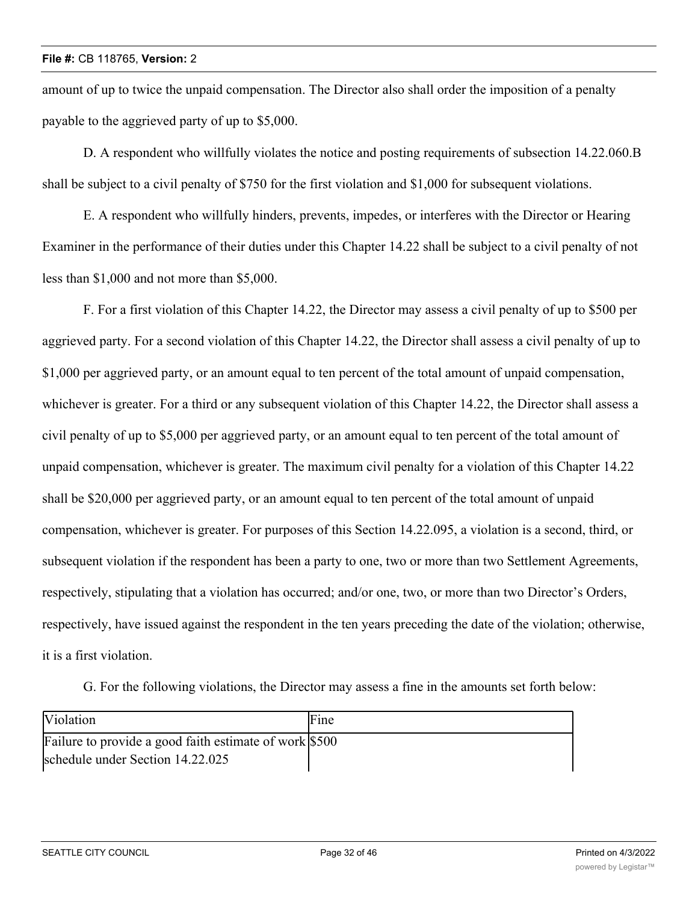amount of up to twice the unpaid compensation. The Director also shall order the imposition of a penalty payable to the aggrieved party of up to \$5,000.

D. A respondent who willfully violates the notice and posting requirements of subsection 14.22.060.B shall be subject to a civil penalty of \$750 for the first violation and \$1,000 for subsequent violations.

E. A respondent who willfully hinders, prevents, impedes, or interferes with the Director or Hearing Examiner in the performance of their duties under this Chapter 14.22 shall be subject to a civil penalty of not less than \$1,000 and not more than \$5,000.

F. For a first violation of this Chapter 14.22, the Director may assess a civil penalty of up to \$500 per aggrieved party. For a second violation of this Chapter 14.22, the Director shall assess a civil penalty of up to \$1,000 per aggrieved party, or an amount equal to ten percent of the total amount of unpaid compensation, whichever is greater. For a third or any subsequent violation of this Chapter 14.22, the Director shall assess a civil penalty of up to \$5,000 per aggrieved party, or an amount equal to ten percent of the total amount of unpaid compensation, whichever is greater. The maximum civil penalty for a violation of this Chapter 14.22 shall be \$20,000 per aggrieved party, or an amount equal to ten percent of the total amount of unpaid compensation, whichever is greater. For purposes of this Section 14.22.095, a violation is a second, third, or subsequent violation if the respondent has been a party to one, two or more than two Settlement Agreements, respectively, stipulating that a violation has occurred; and/or one, two, or more than two Director's Orders, respectively, have issued against the respondent in the ten years preceding the date of the violation; otherwise, it is a first violation.

G. For the following violations, the Director may assess a fine in the amounts set forth below:

| <b>Violation</b>                                       | Fine |
|--------------------------------------------------------|------|
| Failure to provide a good faith estimate of work \$500 |      |
| schedule under Section 14.22.025                       |      |

event under subsection 14.22.030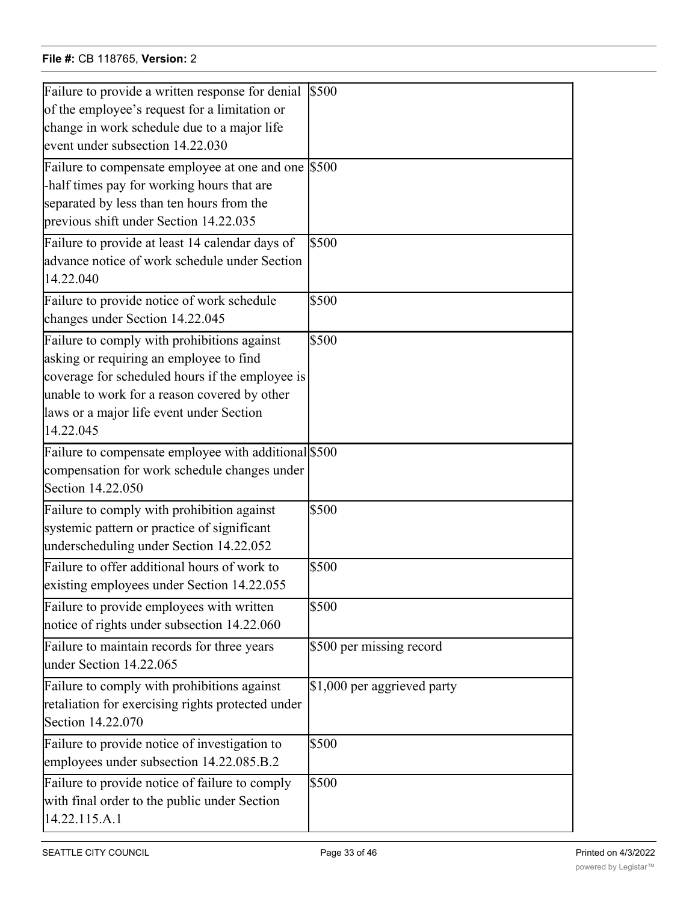# **File #:** CB 118765, **Version:** 2 schedule under Section 14.22.025

| Failure to provide a written response for denial     | \$500                        |
|------------------------------------------------------|------------------------------|
| of the employee's request for a limitation or        |                              |
| change in work schedule due to a major life          |                              |
| event under subsection 14.22.030                     |                              |
| Failure to compensate employee at one and one \$500  |                              |
| -half times pay for working hours that are           |                              |
| separated by less than ten hours from the            |                              |
| previous shift under Section 14.22.035               |                              |
| Failure to provide at least 14 calendar days of      | \$500                        |
| advance notice of work schedule under Section        |                              |
| 14.22.040                                            |                              |
| Failure to provide notice of work schedule           | \$500                        |
| changes under Section 14.22.045                      |                              |
| Failure to comply with prohibitions against          | \$500                        |
| asking or requiring an employee to find              |                              |
| coverage for scheduled hours if the employee is      |                              |
| unable to work for a reason covered by other         |                              |
| laws or a major life event under Section             |                              |
| 14.22.045                                            |                              |
| Failure to compensate employee with additional \$500 |                              |
| compensation for work schedule changes under         |                              |
| Section 14.22.050                                    |                              |
| Failure to comply with prohibition against           | \$500                        |
| systemic pattern or practice of significant          |                              |
| underscheduling under Section 14.22.052              |                              |
| Failure to offer additional hours of work to         | \$500                        |
| existing employees under Section 14.22.055           |                              |
| Failure to provide employees with written            | \$500                        |
| notice of rights under subsection 14.22.060          |                              |
| Failure to maintain records for three years          | \$500 per missing record     |
| under Section 14.22.065                              |                              |
| Failure to comply with prohibitions against          | $$1,000$ per aggrieved party |
| retaliation for exercising rights protected under    |                              |
| Section 14.22.070                                    |                              |
| Failure to provide notice of investigation to        | \$500                        |
| employees under subsection 14.22.085.B.2             |                              |
| Failure to provide notice of failure to comply       | \$500                        |
| with final order to the public under Section         |                              |
| 14.22.115.A.1                                        |                              |
|                                                      |                              |

\$500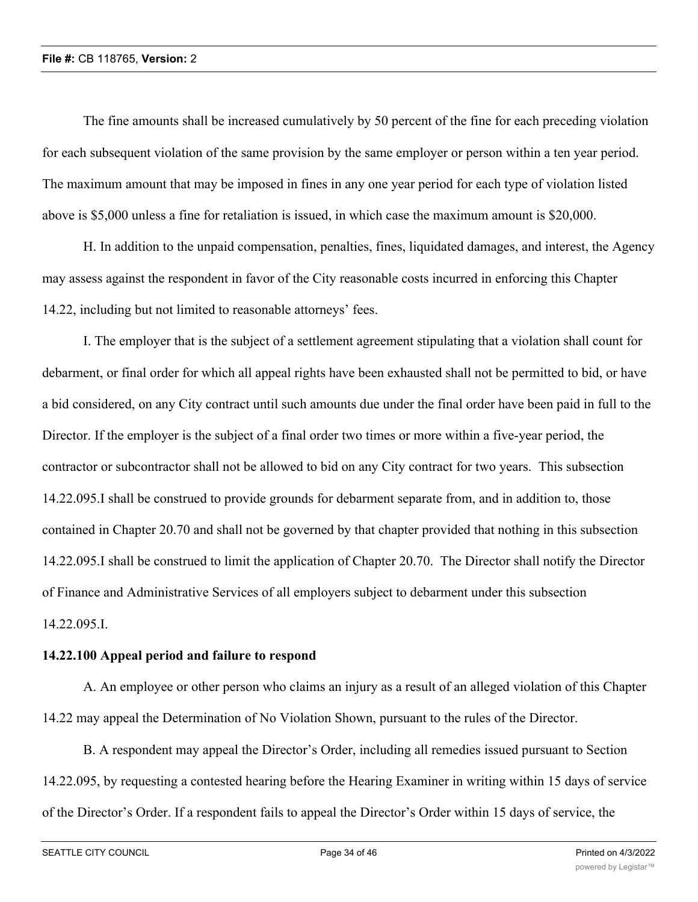The fine amounts shall be increased cumulatively by 50 percent of the fine for each preceding violation for each subsequent violation of the same provision by the same employer or person within a ten year period. The maximum amount that may be imposed in fines in any one year period for each type of violation listed above is \$5,000 unless a fine for retaliation is issued, in which case the maximum amount is \$20,000.

H. In addition to the unpaid compensation, penalties, fines, liquidated damages, and interest, the Agency may assess against the respondent in favor of the City reasonable costs incurred in enforcing this Chapter 14.22, including but not limited to reasonable attorneys' fees.

I. The employer that is the subject of a settlement agreement stipulating that a violation shall count for debarment, or final order for which all appeal rights have been exhausted shall not be permitted to bid, or have a bid considered, on any City contract until such amounts due under the final order have been paid in full to the Director. If the employer is the subject of a final order two times or more within a five-year period, the contractor or subcontractor shall not be allowed to bid on any City contract for two years. This subsection 14.22.095.I shall be construed to provide grounds for debarment separate from, and in addition to, those contained in Chapter 20.70 and shall not be governed by that chapter provided that nothing in this subsection 14.22.095.I shall be construed to limit the application of Chapter 20.70. The Director shall notify the Director of Finance and Administrative Services of all employers subject to debarment under this subsection 14.22.095.I.

# **14.22.100 Appeal period and failure to respond**

A. An employee or other person who claims an injury as a result of an alleged violation of this Chapter 14.22 may appeal the Determination of No Violation Shown, pursuant to the rules of the Director.

B. A respondent may appeal the Director's Order, including all remedies issued pursuant to Section 14.22.095, by requesting a contested hearing before the Hearing Examiner in writing within 15 days of service of the Director's Order. If a respondent fails to appeal the Director's Order within 15 days of service, the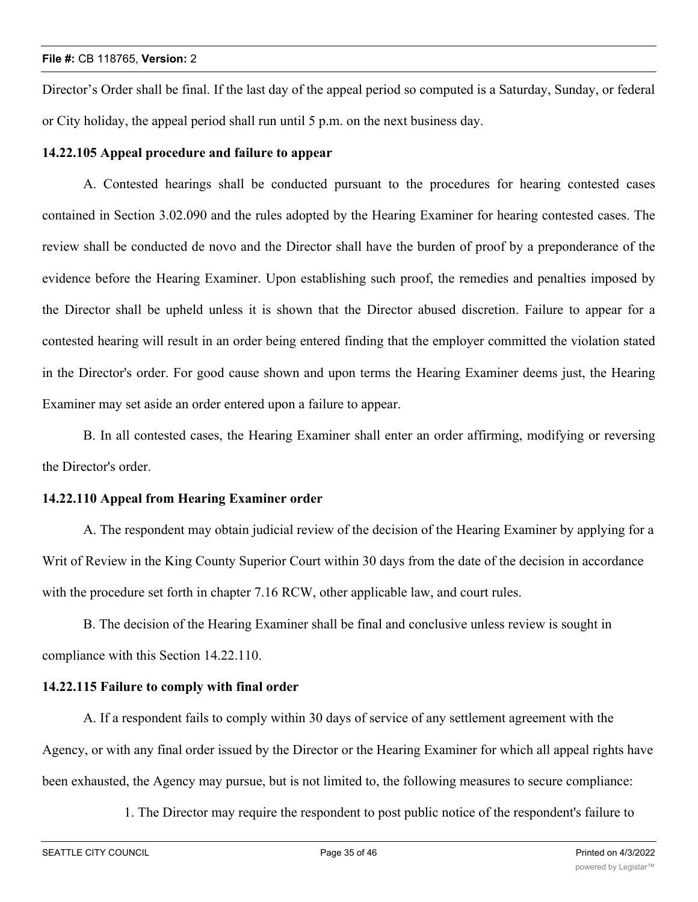Director's Order shall be final. If the last day of the appeal period so computed is a Saturday, Sunday, or federal or City holiday, the appeal period shall run until 5 p.m. on the next business day.

## **14.22.105 Appeal procedure and failure to appear**

A. Contested hearings shall be conducted pursuant to the procedures for hearing contested cases contained in Section 3.02.090 and the rules adopted by the Hearing Examiner for hearing contested cases. The review shall be conducted de novo and the Director shall have the burden of proof by a preponderance of the evidence before the Hearing Examiner. Upon establishing such proof, the remedies and penalties imposed by the Director shall be upheld unless it is shown that the Director abused discretion. Failure to appear for a contested hearing will result in an order being entered finding that the employer committed the violation stated in the Director's order. For good cause shown and upon terms the Hearing Examiner deems just, the Hearing Examiner may set aside an order entered upon a failure to appear.

B. In all contested cases, the Hearing Examiner shall enter an order affirming, modifying or reversing the Director's order.

## **14.22.110 Appeal from Hearing Examiner order**

A. The respondent may obtain judicial review of the decision of the Hearing Examiner by applying for a Writ of Review in the King County Superior Court within 30 days from the date of the decision in accordance with the procedure set forth in chapter 7.16 RCW, other applicable law, and court rules.

B. The decision of the Hearing Examiner shall be final and conclusive unless review is sought in compliance with this Section 14.22.110.

# **14.22.115 Failure to comply with final order**

A. If a respondent fails to comply within 30 days of service of any settlement agreement with the Agency, or with any final order issued by the Director or the Hearing Examiner for which all appeal rights have been exhausted, the Agency may pursue, but is not limited to, the following measures to secure compliance:

1. The Director may require the respondent to post public notice of the respondent's failure to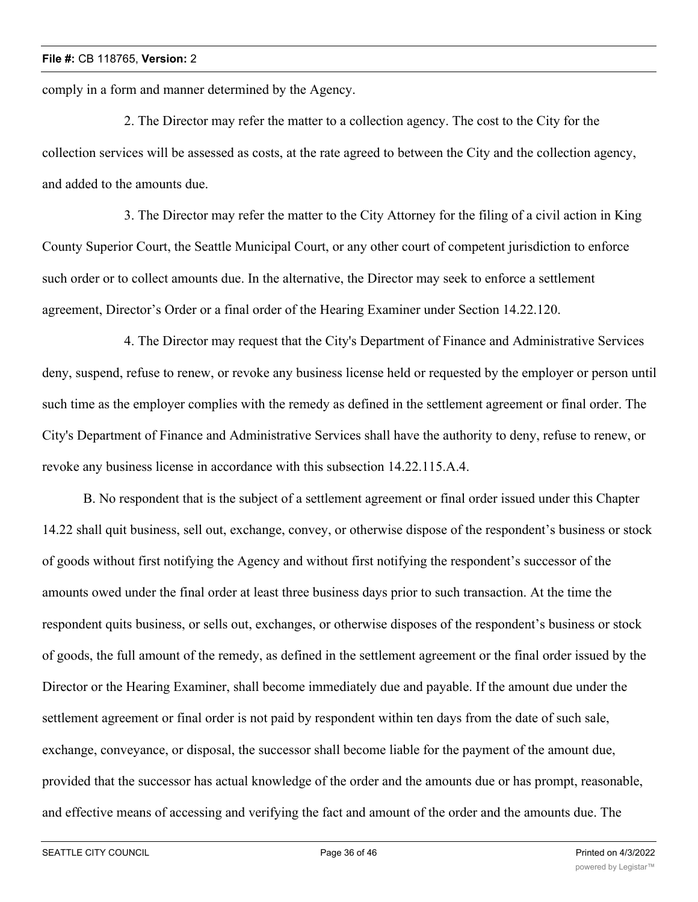comply in a form and manner determined by the Agency.

2. The Director may refer the matter to a collection agency. The cost to the City for the collection services will be assessed as costs, at the rate agreed to between the City and the collection agency, and added to the amounts due.

3. The Director may refer the matter to the City Attorney for the filing of a civil action in King County Superior Court, the Seattle Municipal Court, or any other court of competent jurisdiction to enforce such order or to collect amounts due. In the alternative, the Director may seek to enforce a settlement agreement, Director's Order or a final order of the Hearing Examiner under Section 14.22.120.

4. The Director may request that the City's Department of Finance and Administrative Services deny, suspend, refuse to renew, or revoke any business license held or requested by the employer or person until such time as the employer complies with the remedy as defined in the settlement agreement or final order. The City's Department of Finance and Administrative Services shall have the authority to deny, refuse to renew, or revoke any business license in accordance with this subsection 14.22.115.A.4.

B. No respondent that is the subject of a settlement agreement or final order issued under this Chapter 14.22 shall quit business, sell out, exchange, convey, or otherwise dispose of the respondent's business or stock of goods without first notifying the Agency and without first notifying the respondent's successor of the amounts owed under the final order at least three business days prior to such transaction. At the time the respondent quits business, or sells out, exchanges, or otherwise disposes of the respondent's business or stock of goods, the full amount of the remedy, as defined in the settlement agreement or the final order issued by the Director or the Hearing Examiner, shall become immediately due and payable. If the amount due under the settlement agreement or final order is not paid by respondent within ten days from the date of such sale, exchange, conveyance, or disposal, the successor shall become liable for the payment of the amount due, provided that the successor has actual knowledge of the order and the amounts due or has prompt, reasonable, and effective means of accessing and verifying the fact and amount of the order and the amounts due. The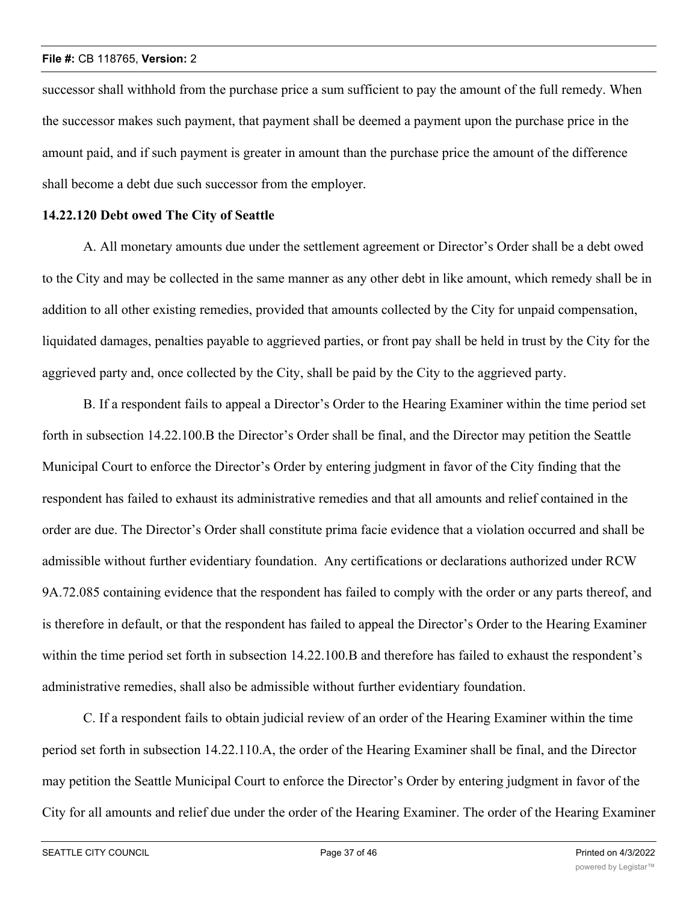successor shall withhold from the purchase price a sum sufficient to pay the amount of the full remedy. When the successor makes such payment, that payment shall be deemed a payment upon the purchase price in the amount paid, and if such payment is greater in amount than the purchase price the amount of the difference shall become a debt due such successor from the employer.

### **14.22.120 Debt owed The City of Seattle**

A. All monetary amounts due under the settlement agreement or Director's Order shall be a debt owed to the City and may be collected in the same manner as any other debt in like amount, which remedy shall be in addition to all other existing remedies, provided that amounts collected by the City for unpaid compensation, liquidated damages, penalties payable to aggrieved parties, or front pay shall be held in trust by the City for the aggrieved party and, once collected by the City, shall be paid by the City to the aggrieved party.

B. If a respondent fails to appeal a Director's Order to the Hearing Examiner within the time period set forth in subsection 14.22.100.B the Director's Order shall be final, and the Director may petition the Seattle Municipal Court to enforce the Director's Order by entering judgment in favor of the City finding that the respondent has failed to exhaust its administrative remedies and that all amounts and relief contained in the order are due. The Director's Order shall constitute prima facie evidence that a violation occurred and shall be admissible without further evidentiary foundation. Any certifications or declarations authorized under RCW 9A.72.085 containing evidence that the respondent has failed to comply with the order or any parts thereof, and is therefore in default, or that the respondent has failed to appeal the Director's Order to the Hearing Examiner within the time period set forth in subsection 14.22.100.B and therefore has failed to exhaust the respondent's administrative remedies, shall also be admissible without further evidentiary foundation.

C. If a respondent fails to obtain judicial review of an order of the Hearing Examiner within the time period set forth in subsection 14.22.110.A, the order of the Hearing Examiner shall be final, and the Director may petition the Seattle Municipal Court to enforce the Director's Order by entering judgment in favor of the City for all amounts and relief due under the order of the Hearing Examiner. The order of the Hearing Examiner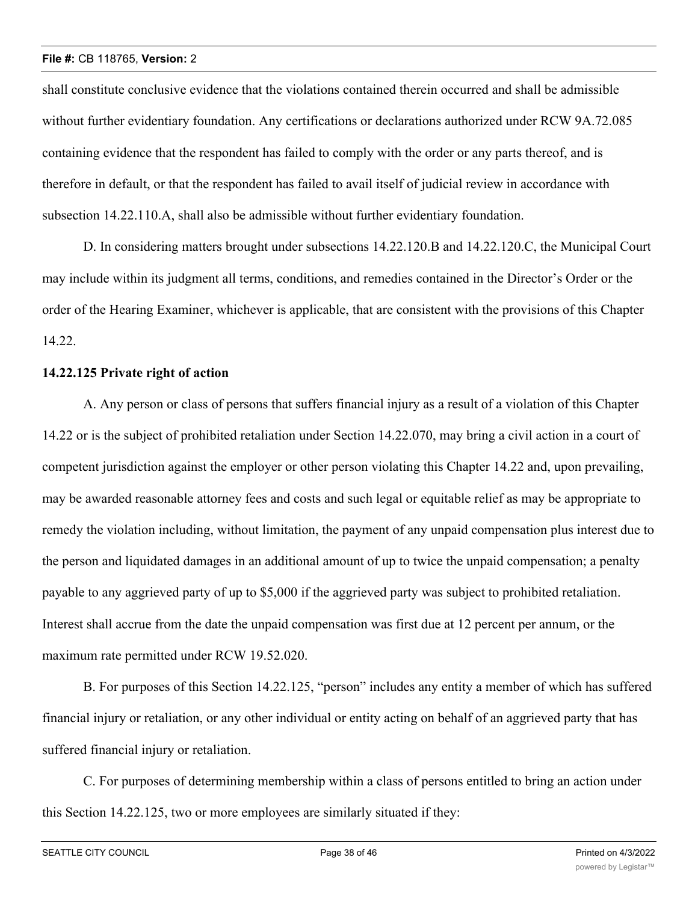shall constitute conclusive evidence that the violations contained therein occurred and shall be admissible without further evidentiary foundation. Any certifications or declarations authorized under RCW 9A.72.085 containing evidence that the respondent has failed to comply with the order or any parts thereof, and is therefore in default, or that the respondent has failed to avail itself of judicial review in accordance with subsection 14.22.110.A, shall also be admissible without further evidentiary foundation.

D. In considering matters brought under subsections 14.22.120.B and 14.22.120.C, the Municipal Court may include within its judgment all terms, conditions, and remedies contained in the Director's Order or the order of the Hearing Examiner, whichever is applicable, that are consistent with the provisions of this Chapter 14.22.

## **14.22.125 Private right of action**

A. Any person or class of persons that suffers financial injury as a result of a violation of this Chapter 14.22 or is the subject of prohibited retaliation under Section 14.22.070, may bring a civil action in a court of competent jurisdiction against the employer or other person violating this Chapter 14.22 and, upon prevailing, may be awarded reasonable attorney fees and costs and such legal or equitable relief as may be appropriate to remedy the violation including, without limitation, the payment of any unpaid compensation plus interest due to the person and liquidated damages in an additional amount of up to twice the unpaid compensation; a penalty payable to any aggrieved party of up to \$5,000 if the aggrieved party was subject to prohibited retaliation. Interest shall accrue from the date the unpaid compensation was first due at 12 percent per annum, or the maximum rate permitted under RCW 19.52.020.

B. For purposes of this Section 14.22.125, "person" includes any entity a member of which has suffered financial injury or retaliation, or any other individual or entity acting on behalf of an aggrieved party that has suffered financial injury or retaliation.

C. For purposes of determining membership within a class of persons entitled to bring an action under this Section 14.22.125, two or more employees are similarly situated if they: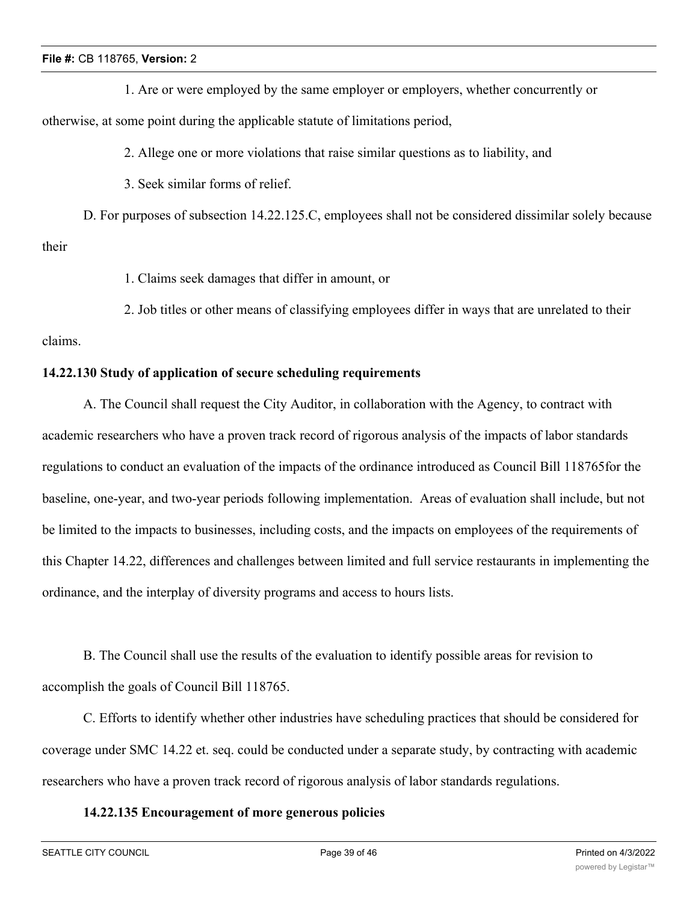1. Are or were employed by the same employer or employers, whether concurrently or

otherwise, at some point during the applicable statute of limitations period,

2. Allege one or more violations that raise similar questions as to liability, and

3. Seek similar forms of relief.

D. For purposes of subsection 14.22.125.C, employees shall not be considered dissimilar solely because their

1. Claims seek damages that differ in amount, or

2. Job titles or other means of classifying employees differ in ways that are unrelated to their

# claims.

# **14.22.130 Study of application of secure scheduling requirements**

A. The Council shall request the City Auditor, in collaboration with the Agency, to contract with academic researchers who have a proven track record of rigorous analysis of the impacts of labor standards regulations to conduct an evaluation of the impacts of the ordinance introduced as Council Bill 118765for the baseline, one-year, and two-year periods following implementation. Areas of evaluation shall include, but not be limited to the impacts to businesses, including costs, and the impacts on employees of the requirements of this Chapter 14.22, differences and challenges between limited and full service restaurants in implementing the ordinance, and the interplay of diversity programs and access to hours lists.

B. The Council shall use the results of the evaluation to identify possible areas for revision to accomplish the goals of Council Bill 118765.

C. Efforts to identify whether other industries have scheduling practices that should be considered for coverage under SMC 14.22 et. seq. could be conducted under a separate study, by contracting with academic researchers who have a proven track record of rigorous analysis of labor standards regulations.

# **14.22.135 Encouragement of more generous policies**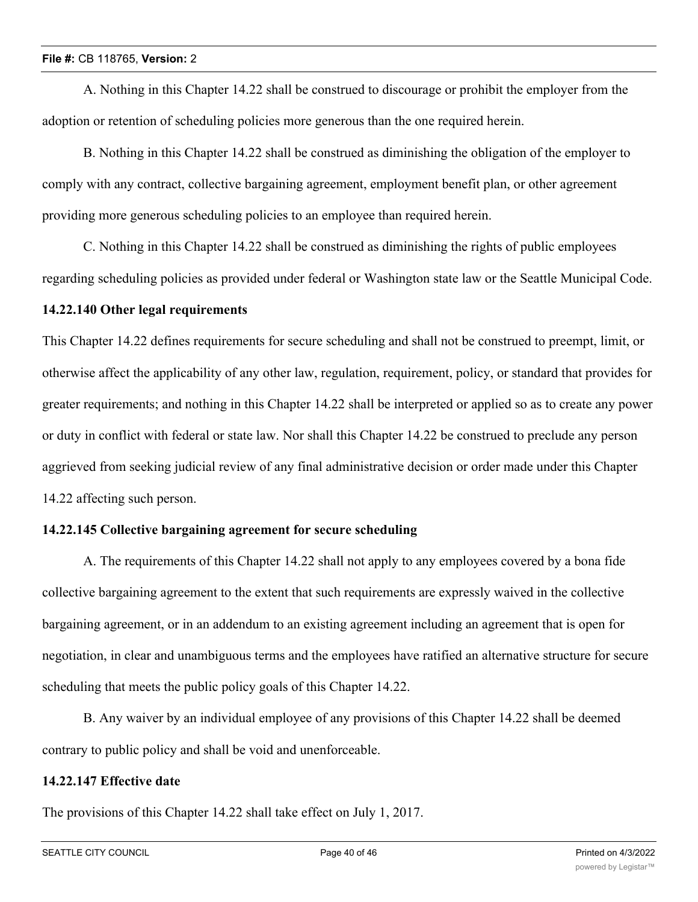A. Nothing in this Chapter 14.22 shall be construed to discourage or prohibit the employer from the adoption or retention of scheduling policies more generous than the one required herein.

B. Nothing in this Chapter 14.22 shall be construed as diminishing the obligation of the employer to comply with any contract, collective bargaining agreement, employment benefit plan, or other agreement providing more generous scheduling policies to an employee than required herein.

C. Nothing in this Chapter 14.22 shall be construed as diminishing the rights of public employees regarding scheduling policies as provided under federal or Washington state law or the Seattle Municipal Code.

## **14.22.140 Other legal requirements**

This Chapter 14.22 defines requirements for secure scheduling and shall not be construed to preempt, limit, or otherwise affect the applicability of any other law, regulation, requirement, policy, or standard that provides for greater requirements; and nothing in this Chapter 14.22 shall be interpreted or applied so as to create any power or duty in conflict with federal or state law. Nor shall this Chapter 14.22 be construed to preclude any person aggrieved from seeking judicial review of any final administrative decision or order made under this Chapter 14.22 affecting such person.

# **14.22.145 Collective bargaining agreement for secure scheduling**

A. The requirements of this Chapter 14.22 shall not apply to any employees covered by a bona fide collective bargaining agreement to the extent that such requirements are expressly waived in the collective bargaining agreement, or in an addendum to an existing agreement including an agreement that is open for negotiation, in clear and unambiguous terms and the employees have ratified an alternative structure for secure scheduling that meets the public policy goals of this Chapter 14.22.

B. Any waiver by an individual employee of any provisions of this Chapter 14.22 shall be deemed contrary to public policy and shall be void and unenforceable.

## **14.22.147 Effective date**

The provisions of this Chapter 14.22 shall take effect on July 1, 2017.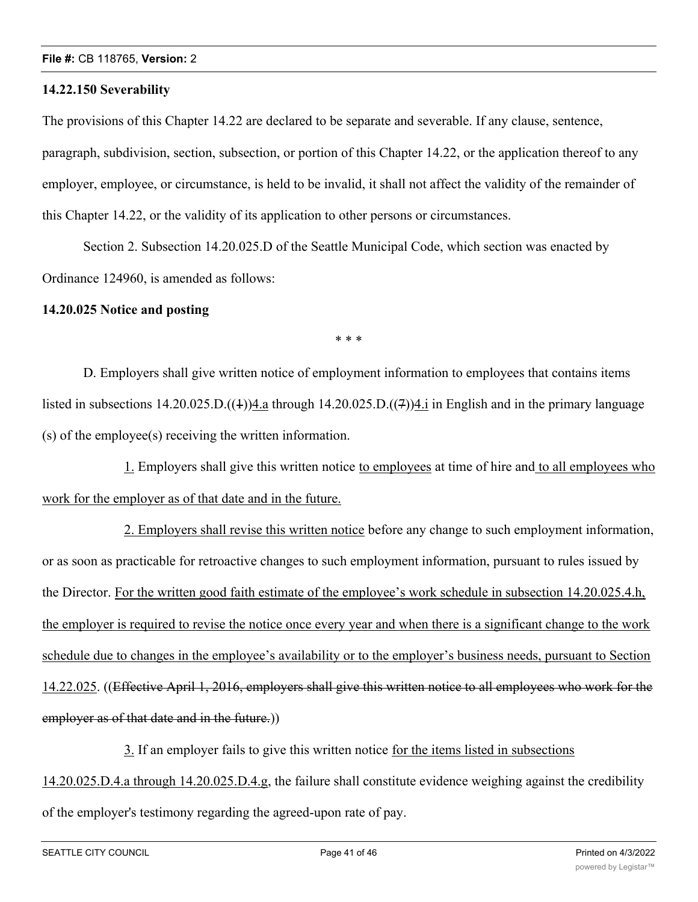#### **14.22.150 Severability**

The provisions of this Chapter 14.22 are declared to be separate and severable. If any clause, sentence, paragraph, subdivision, section, subsection, or portion of this Chapter 14.22, or the application thereof to any employer, employee, or circumstance, is held to be invalid, it shall not affect the validity of the remainder of this Chapter 14.22, or the validity of its application to other persons or circumstances.

Section 2. Subsection 14.20.025.D of the Seattle Municipal Code, which section was enacted by Ordinance 124960, is amended as follows:

### **14.20.025 Notice and posting**

\* \* \*

D. Employers shall give written notice of employment information to employees that contains items listed in subsections  $14.20.025 \cdot D\cdot((1))4$  a through  $14.20.025 \cdot D\cdot((7))4$  in English and in the primary language (s) of the employee(s) receiving the written information.

1. Employers shall give this written notice to employees at time of hire and to all employees who work for the employer as of that date and in the future.

2. Employers shall revise this written notice before any change to such employment information, or as soon as practicable for retroactive changes to such employment information, pursuant to rules issued by the Director. For the written good faith estimate of the employee's work schedule in subsection 14.20.025.4.h, the employer is required to revise the notice once every year and when there is a significant change to the work schedule due to changes in the employee's availability or to the employer's business needs, pursuant to Section 14.22.025. ((Effective April 1, 2016, employers shall give this written notice to all employees who work for the employer as of that date and in the future.))

3. If an employer fails to give this written notice for the items listed in subsections 14.20.025.D.4.a through 14.20.025.D.4.g, the failure shall constitute evidence weighing against the credibility of the employer's testimony regarding the agreed-upon rate of pay.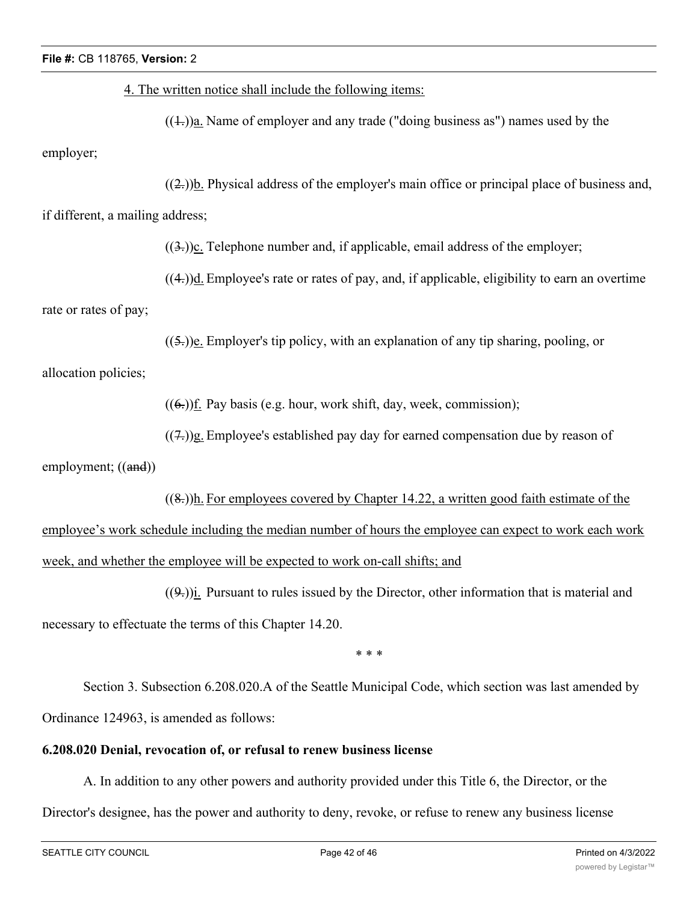| File #: CB 118765, Version: 2                            |                                                                                                         |  |
|----------------------------------------------------------|---------------------------------------------------------------------------------------------------------|--|
|                                                          | 4. The written notice shall include the following items:                                                |  |
|                                                          | $((\text{+}))$ a. Name of employer and any trade ("doing business as") names used by the                |  |
| employer;                                                |                                                                                                         |  |
|                                                          | $((2))$ . Physical address of the employer's main office or principal place of business and,            |  |
| if different, a mailing address;                         |                                                                                                         |  |
|                                                          | $((3))$ . Telephone number and, if applicable, email address of the employer;                           |  |
|                                                          | $((4))$ <u>d.</u> Employee's rate or rates of pay, and, if applicable, eligibility to earn an overtime  |  |
| rate or rates of pay;                                    |                                                                                                         |  |
|                                                          | $((5))$ e. Employer's tip policy, with an explanation of any tip sharing, pooling, or                   |  |
| allocation policies;                                     |                                                                                                         |  |
|                                                          | $((6))$ f. Pay basis (e.g. hour, work shift, day, week, commission);                                    |  |
|                                                          | $((7))$ g. Employee's established pay day for earned compensation due by reason of                      |  |
| employment; ((and))                                      |                                                                                                         |  |
|                                                          | $((8))$ . For employees covered by Chapter 14.22, a written good faith estimate of the                  |  |
|                                                          | employee's work schedule including the median number of hours the employee can expect to work each work |  |
|                                                          | week, and whether the employee will be expected to work on-call shifts; and                             |  |
|                                                          | $((9))$ i. Pursuant to rules issued by the Director, other information that is material and             |  |
| necessary to effectuate the terms of this Chapter 14.20. |                                                                                                         |  |
|                                                          | * * *                                                                                                   |  |
|                                                          |                                                                                                         |  |

Section 3. Subsection 6.208.020.A of the Seattle Municipal Code, which section was last amended by Ordinance 124963, is amended as follows:

# **6.208.020 Denial, revocation of, or refusal to renew business license**

A. In addition to any other powers and authority provided under this Title 6, the Director, or the Director's designee, has the power and authority to deny, revoke, or refuse to renew any business license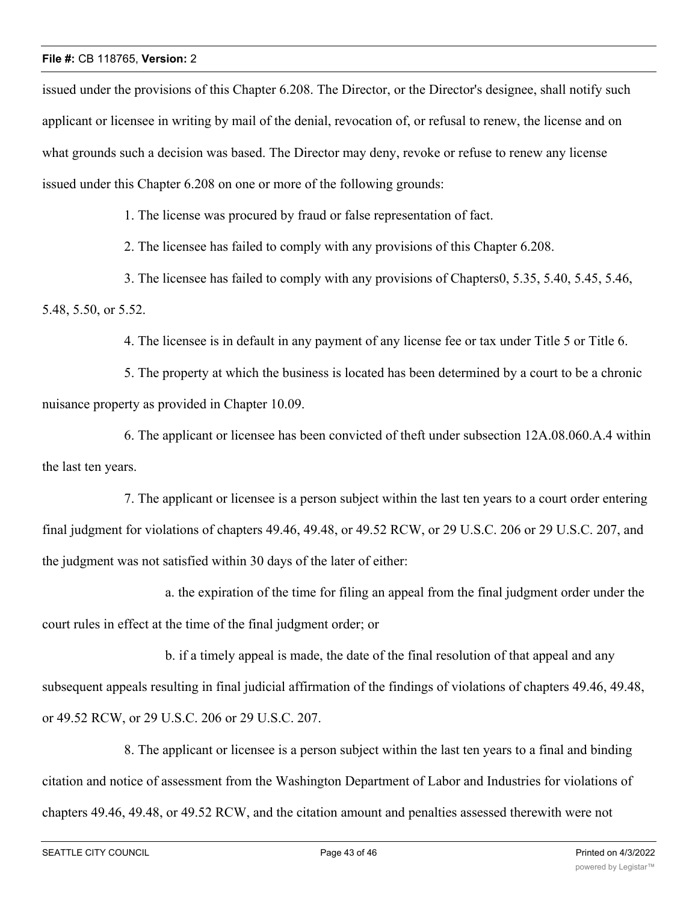issued under the provisions of this Chapter 6.208. The Director, or the Director's designee, shall notify such applicant or licensee in writing by mail of the denial, revocation of, or refusal to renew, the license and on what grounds such a decision was based. The Director may deny, revoke or refuse to renew any license issued under this Chapter 6.208 on one or more of the following grounds:

1. The license was procured by fraud or false representation of fact.

2. The licensee has failed to comply with any provisions of this Chapter 6.208.

3. The licensee has failed to comply with any provisions of Chapters0, 5.35, 5.40, 5.45, 5.46, 5.48, 5.50, or 5.52.

4. The licensee is in default in any payment of any license fee or tax under Title 5 or Title 6.

5. The property at which the business is located has been determined by a court to be a chronic nuisance property as provided in Chapter 10.09.

6. The applicant or licensee has been convicted of theft under subsection 12A.08.060.A.4 within the last ten years.

7. The applicant or licensee is a person subject within the last ten years to a court order entering final judgment for violations of chapters 49.46, 49.48, or 49.52 RCW, or 29 U.S.C. 206 or 29 U.S.C. 207, and the judgment was not satisfied within 30 days of the later of either:

a. the expiration of the time for filing an appeal from the final judgment order under the court rules in effect at the time of the final judgment order; or

b. if a timely appeal is made, the date of the final resolution of that appeal and any subsequent appeals resulting in final judicial affirmation of the findings of violations of chapters 49.46, 49.48, or 49.52 RCW, or 29 U.S.C. 206 or 29 U.S.C. 207.

8. The applicant or licensee is a person subject within the last ten years to a final and binding citation and notice of assessment from the Washington Department of Labor and Industries for violations of chapters 49.46, 49.48, or 49.52 RCW, and the citation amount and penalties assessed therewith were not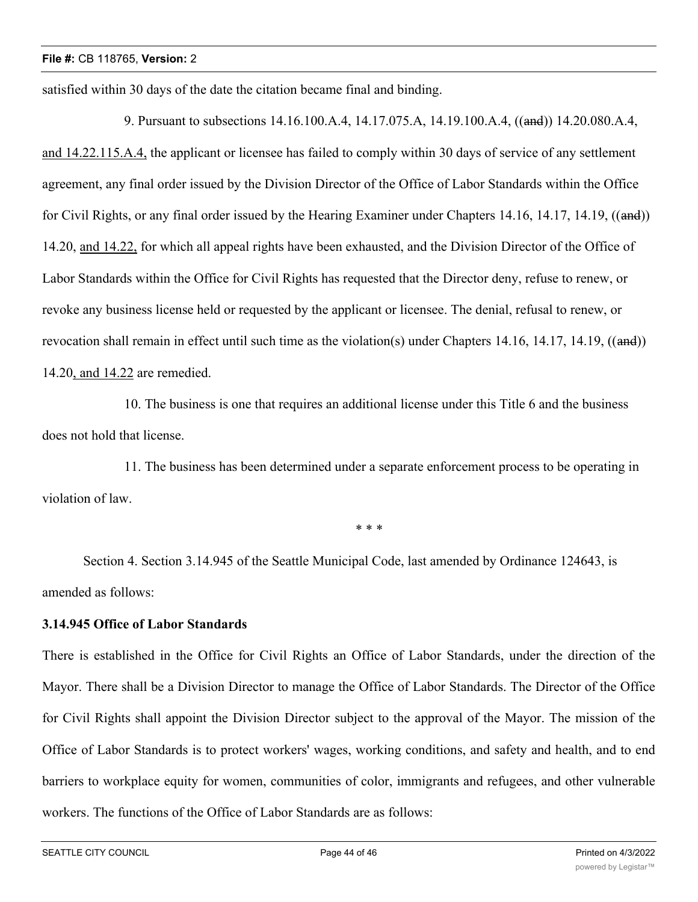satisfied within 30 days of the date the citation became final and binding.

9. Pursuant to subsections 14.16.100.A.4, 14.17.075.A, 14.19.100.A.4, ((and)) 14.20.080.A.4, and 14.22.115.A.4, the applicant or licensee has failed to comply within 30 days of service of any settlement agreement, any final order issued by the Division Director of the Office of Labor Standards within the Office for Civil Rights, or any final order issued by the Hearing Examiner under Chapters 14.16, 14.17, 14.19, ((and)) 14.20, and 14.22, for which all appeal rights have been exhausted, and the Division Director of the Office of Labor Standards within the Office for Civil Rights has requested that the Director deny, refuse to renew, or revoke any business license held or requested by the applicant or licensee. The denial, refusal to renew, or revocation shall remain in effect until such time as the violation(s) under Chapters 14.16, 14.17, 14.19,  $((and))$ 14.20, and 14.22 are remedied.

10. The business is one that requires an additional license under this Title 6 and the business does not hold that license.

11. The business has been determined under a separate enforcement process to be operating in violation of law.

\* \* \*

Section 4. Section 3.14.945 of the Seattle Municipal Code, last amended by Ordinance 124643, is amended as follows:

# **3.14.945 Office of Labor Standards**

There is established in the Office for Civil Rights an Office of Labor Standards, under the direction of the Mayor. There shall be a Division Director to manage the Office of Labor Standards. The Director of the Office for Civil Rights shall appoint the Division Director subject to the approval of the Mayor. The mission of the Office of Labor Standards is to protect workers' wages, working conditions, and safety and health, and to end barriers to workplace equity for women, communities of color, immigrants and refugees, and other vulnerable workers. The functions of the Office of Labor Standards are as follows: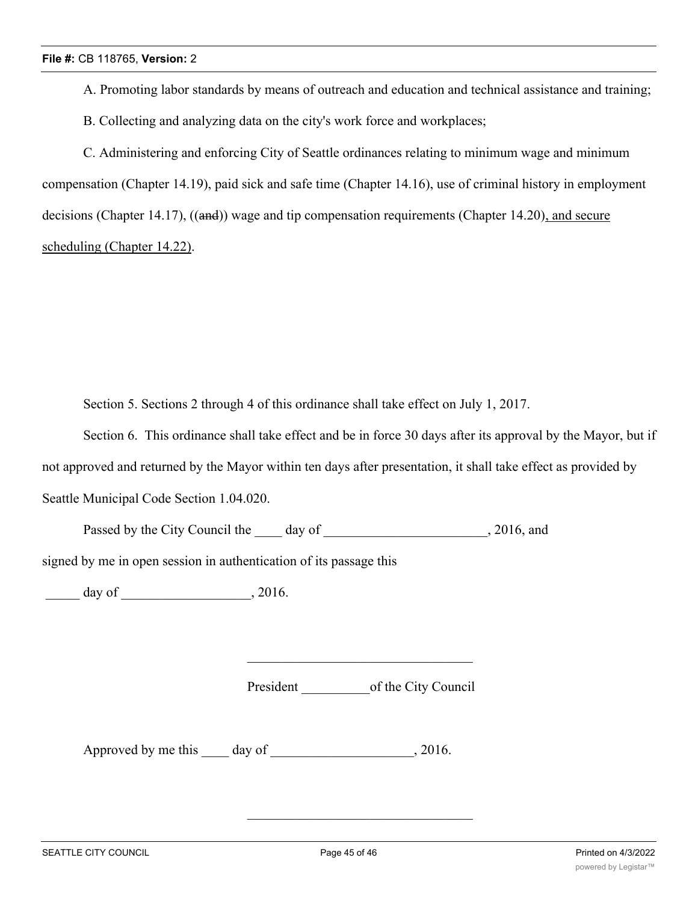A. Promoting labor standards by means of outreach and education and technical assistance and training;

B. Collecting and analyzing data on the city's work force and workplaces;

C. Administering and enforcing City of Seattle ordinances relating to minimum wage and minimum compensation (Chapter 14.19), paid sick and safe time (Chapter 14.16), use of criminal history in employment decisions (Chapter 14.17), ((and)) wage and tip compensation requirements (Chapter 14.20), and secure scheduling (Chapter 14.22).

Section 5. Sections 2 through 4 of this ordinance shall take effect on July 1, 2017.

Section 6. This ordinance shall take effect and be in force 30 days after its approval by the Mayor, but if not approved and returned by the Mayor within ten days after presentation, it shall take effect as provided by Seattle Municipal Code Section 1.04.020.

Passed by the City Council the day of the case of the case of the case of the case of the case of the case of the case of the case of the case of the case of the case of the case of the case of the case of the case of the

signed by me in open session in authentication of its passage this

\_\_\_\_\_ day of \_\_\_\_\_\_\_\_\_\_\_\_\_\_\_\_\_\_\_, 2016.

President \_\_\_\_\_\_\_\_\_\_of the City Council

Approved by me this day of 3016.